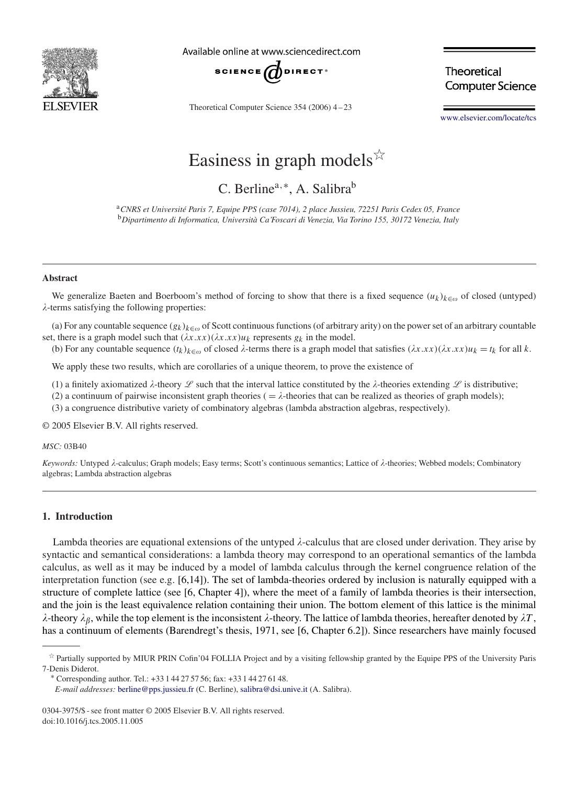

Available online at www.sciencedirect.com



Theoretical Computer Science 354 (2006) 4 – 23

**Theoretical Computer Science** 

[www.elsevier.com/locate/tcs](http://www.elsevier.com/locate/tcs)

# Easiness in graph models  $\overrightarrow{x}$

C. Berline<sup>a,∗</sup>, A. Salibra<sup>b</sup>

<sup>a</sup>*CNRS et Université Paris 7, Equipe PPS (case 7014), 2 place Jussieu, 72251 Paris Cedex 05, France* <sup>b</sup>*Dipartimento di Informatica, Università Ca'Foscari di Venezia, Via Torino 155, 30172 Venezia, Italy*

#### **Abstract**

We generalize Baeten and Boerboom's method of forcing to show that there is a fixed sequence  $(u_k)_{k \in \omega}$  of closed (untyped) --terms satisfying the following properties:

(a) For any countable sequence  $(g_k)_{k \in \omega}$  of Scott continuous functions (of arbitrary arity) on the power set of an arbitrary countable set, there is a graph model such that  $(\lambda x.xx)(\lambda x.xx)u_k$  represents  $g_k$  in the model.

(b) For any countable sequence  $(t_k)_{k \in \omega}$  of closed  $\lambda$ -terms there is a graph model that satisfies  $(\lambda x.xx)(\lambda x.xx)u_k = t_k$  for all  $k$ .

We apply these two results, which are corollaries of a unique theorem, to prove the existence of

(1) a finitely axiomatized  $\lambda$ -theory  $\mathscr L$  such that the interval lattice constituted by the  $\lambda$ -theories extending  $\mathscr L$  is distributive;

(2) a continuum of pairwise inconsistent graph theories ( $=\lambda$ -theories that can be realized as theories of graph models);

(3) a congruence distributive variety of combinatory algebras (lambda abstraction algebras, respectively).

© 2005 Elsevier B.V. All rights reserved.

*MSC:* 03B40

Keywords: Untyped  $\lambda$ -calculus; Graph models; Easy terms; Scott's continuous semantics; Lattice of  $\lambda$ -theories; Webbed models; Combinatory algebras; Lambda abstraction algebras

## **1. Introduction**

Lambda theories are equational extensions of the untyped  $\lambda$ -calculus that are closed under derivation. They arise by syntactic and semantical considerations: a lambda theory may correspond to an operational semantics of the lambda calculus, as well as it may be induced by a model of lambda calculus through the kernel congruence relation of the interpretation function (see e.g. [\[6,14\]\)](#page-18-0). The set of lambda-theories ordered by inclusion is naturally equipped with a structure of complete lattice (see [\[6, Chapter 4\]\)](#page-18-0), where the meet of a family of lambda theories is their intersection, and the join is the least equivalence relation containing their union. The bottom element of this lattice is the minimal  $\lambda$ -theory  $\lambda_{\beta}$ , while the top element is the inconsistent  $\lambda$ -theory. The lattice of lambda theories, hereafter denoted by  $\lambda T$ , has a continuum of elements (Barendregt's thesis, 1971, see [\[6, Chapter 6.2\]\)](#page-18-0). Since researchers have mainly focused

 $\hat{P}$  Partially supported by MIUR PRIN Cofin'04 FOLLIA Project and by a visiting fellowship granted by the Equipe PPS of the University Paris 7-Denis Diderot. <sup>∗</sup> Corresponding author. Tel.: +33 1 44 27 57 56; fax: +33 1 44 27 61 48.

*E-mail addresses:* [berline@pps.jussieu.fr](mailto:berline@pps.jussieu.fr) (C. Berline), [salibra@dsi.unive.it](mailto:salibra@dsi.unive.it) (A. Salibra).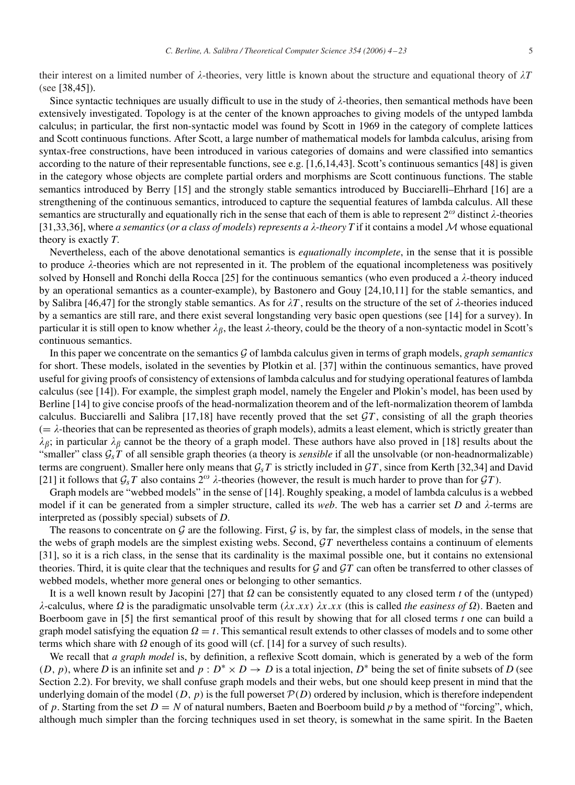their interest on a limited number of  $\lambda$ -theories, very little is known about the structure and equational theory of  $\lambda T$ (see [\[38,45\]\)](#page-19-0).

Since syntactic techniques are usually difficult to use in the study of  $\lambda$ -theories, then semantical methods have been extensively investigated. Topology is at the center of the known approaches to giving models of the untyped lambda calculus; in particular, the first non-syntactic model was found by Scott in 1969 in the category of complete lattices and Scott continuous functions. After Scott, a large number of mathematical models for lambda calculus, arising from syntax-free constructions, have been introduced in various categories of domains and were classified into semantics according to the nature of their representable functions, see e.g. [\[1,6,14,](#page-18-0)[43\].](#page-19-0) Scott's continuous semantics [48] is given in the category whose objects are complete partial orders and morphisms are Scott continuous functions. The stable semantics introduced by Berry [\[15\]](#page-18-0) and the strongly stable semantics introduced by Bucciarelli–Ehrhard [\[16\]](#page-18-0) are a strengthening of the continuous semantics, introduced to capture the sequential features of lambda calculus. All these semantics are structurally and equationally rich in the sense that each of them is able to represent  $2^\omega$  distinct  $\lambda$ -theories [\[31,33,36\],](#page-19-0) where *a semantics* (*or a class of models*) *represents a*  $\lambda$ *-theory*  $T$  if it contains a model  $M$  whose equational theory is exactly *T*.

Nevertheless, each of the above denotational semantics is *equationally incomplete*, in the sense that it is possible to produce  $\lambda$ -theories which are not represented in it. The problem of the equational incompleteness was positively solved by Honsell and Ronchi della Rocca [\[25\]](#page-19-0) for the continuous semantics (who even produced a  $\lambda$ -theory induced by an operational semantics as a counter-example), by Bastonero and Gouy [\[24,](#page-19-0)[10,11\]](#page-18-0) for the stable semantics, and by Salibra [\[46,47\]](#page-19-0) for the strongly stable semantics. As for  $\lambda T$ , results on the structure of the set of  $\lambda$ -theories induced by a semantics are still rare, and there exist several longstanding very basic open questions (see [\[14\]](#page-18-0) for a survey). In particular it is still open to know whether  $\lambda_\beta$ , the least  $\lambda$ -theory, could be the theory of a non-syntactic model in Scott's continuous semantics.

In this paper we concentrate on the semantics G of lambda calculus given in terms of graph models, *graph semantics* for short. These models, isolated in the seventies by Plotkin et al. [\[37\]](#page-19-0) within the continuous semantics, have proved useful for giving proofs of consistency of extensions of lambda calculus and for studying operational features of lambda calculus (see [\[14\]\)](#page-18-0). For example, the simplest graph model, namely the Engeler and Plokin's model, has been used by Berline [\[14\]](#page-18-0) to give concise proofs of the head-normalization theorem and of the left-normalization theorem of lambda calculus. Bucciarelli and Salibra  $[17,18]$  have recently proved that the set  $\mathcal{G}T$ , consisting of all the graph theories  $(=\lambda$ -theories that can be represented as theories of graph models), admits a least element, which is strictly greater than  $\lambda_{\beta}$ ; in particular  $\lambda_{\beta}$  cannot be the theory of a graph model. These authors have also proved in [\[18\]](#page-19-0) results about the "smaller" class  $G_sT$  of all sensible graph theories (a theory is *sensible* if all the unsolvable (or non-headnormalizable) terms are congruent). Smaller here only means that G*sT* is strictly included in G*T* , since from Kerth [\[32,34\]](#page-19-0) and David [\[21\]](#page-19-0) it follows that  $\mathcal{G}_sT$  also contains  $2^\omega$   $\lambda$ -theories (however, the result is much harder to prove than for  $\mathcal{G}T$ ).

Graph models are "webbed models" in the sense of [\[14\].](#page-18-0) Roughly speaking, a model of lambda calculus is a webbed model if it can be generated from a simpler structure, called its *web*. The web has a carrier set *D* and  $\lambda$ -terms are interpreted as (possibly special) subsets of *D*.

The reasons to concentrate on  $G$  are the following. First,  $G$  is, by far, the simplest class of models, in the sense that the webs of graph models are the simplest existing webs. Second, G*T* nevertheless contains a continuum of elements [\[31\],](#page-19-0) so it is a rich class, in the sense that its cardinality is the maximal possible one, but it contains no extensional theories. Third, it is quite clear that the techniques and results for G and G*T* can often be transferred to other classes of webbed models, whether more general ones or belonging to other semantics.

It is a well known result by Jacopini [\[27\]](#page-19-0) that  $\Omega$  can be consistently equated to any closed term *t* of the (untyped)  $\lambda$ -calculus, where  $\Omega$  is the paradigmatic unsolvable term  $(\lambda x.xx)$   $\lambda x.xx$  (this is called *the easiness of*  $\Omega$ ). Baeten and Boerboom gave in [\[5\]](#page-18-0) the first semantical proof of this result by showing that for all closed terms *t* one can build a graph model satisfying the equation  $\Omega = t$ . This semantical result extends to other classes of models and to some other terms which share with  $\Omega$  enough of its good will (cf. [\[14\]](#page-18-0) for a survey of such results).

We recall that *a graph model* is, by definition, a reflexive Scott domain, which is generated by a web of the form  $(D, p)$ , where *D* is an infinite set and  $p : D^* \times D \to D$  is a total injection,  $D^*$  being the set of finite subsets of *D* (see Section [2.2\)](#page-4-0). For brevity, we shall confuse graph models and their webs, but one should keep present in mind that the underlying domain of the model  $(D, p)$  is the full powerset  $P(D)$  ordered by inclusion, which is therefore independent of *p*. Starting from the set  $D = N$  of natural numbers, Baeten and Boerboom build *p* by a method of "forcing", which, although much simpler than the forcing techniques used in set theory, is somewhat in the same spirit. In the Baeten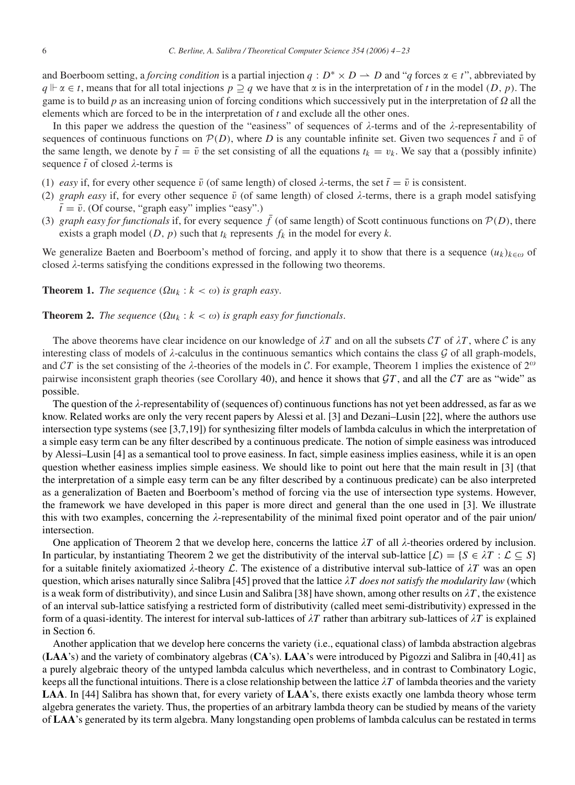and Boerboom setting, a *forcing condition* is a partial injection  $q : D^* \times D \to D$  and "*q* forces  $\alpha \in t$ ", abbreviated by  $q \Vdash \alpha \in t$ , means that for all total injections  $p \supseteq q$  we have that  $\alpha$  is in the interpretation of *t* in the model  $(D, p)$ . The game is to build *p* as an increasing union of forcing conditions which successively put in the interpretation of  $\Omega$  all the elements which are forced to be in the interpretation of *t* and exclude all the other ones.

In this paper we address the question of the "easiness" of sequences of  $\lambda$ -terms and of the  $\lambda$ -representability of sequences of continuous functions on  $P(D)$ , where *D* is any countable infinite set. Given two sequences  $\bar{t}$  and  $\bar{v}$  of the same length, we denote by  $\bar{t} = \bar{v}$  the set consisting of all the equations  $t_k = v_k$ . We say that a (possibly infinite) sequence  $\bar{t}$  of closed  $\lambda$ -terms is

- (1) *easy* if, for every other sequence  $\bar{v}$  (of same length) of closed  $\lambda$ -terms, the set  $\bar{t} = \bar{v}$  is consistent.
- (2) graph easy if, for every other sequence  $\bar{v}$  (of same length) of closed  $\lambda$ -terms, there is a graph model satisfying  $\bar{t} = \bar{v}$ . (Of course, "graph easy" implies "easy".)
- (3) *graph easy for functionals* if, for every sequence  $\bar{f}$  (of same length) of Scott continuous functions on  $\mathcal{P}(D)$ , there exists a graph model  $(D, p)$  such that  $t_k$  represents  $f_k$  in the model for every  $k$ .

We generalize Baeten and Boerboom's method of forcing, and apply it to show that there is a sequence  $(u_k)_{k \in \omega}$  of closed  $\lambda$ -terms satisfying the conditions expressed in the following two theorems.

**Theorem 1.** *The sequence*  $(\Omega u_k : k < \omega)$  *is graph easy.* 

**Theorem 2.** *The sequence*  $(\Omega u_k : k < \omega)$  *is graph easy for functionals.* 

The above theorems have clear incidence on our knowledge of  $\lambda T$  and on all the subsets  $\mathcal{C}T$  of  $\lambda T$ , where  $\mathcal C$  is any interesting class of models of  $\lambda$ -calculus in the continuous semantics which contains the class  $\mathcal G$  of all graph-models, and CT is the set consisting of the  $\lambda$ -theories of the models in C. For example, Theorem 1 implies the existence of  $2^{\omega}$ pairwise inconsistent graph theories (see Corollary [40\)](#page-14-0), and hence it shows that  $GT$ , and all the  $CT$  are as "wide" as possible.

The question of the  $\lambda$ -representability of (sequences of) continuous functions has not yet been addressed, as far as we know. Related works are only the very recent papers by Alessi et al. [\[3\]](#page-18-0) and Dezani–Lusin [\[22\],](#page-19-0) where the authors use intersection type systems (see [\[3,7,](#page-18-0)[19\]\)](#page-19-0) for synthesizing filter models of lambda calculus in which the interpretation of a simple easy term can be any filter described by a continuous predicate. The notion of simple easiness was introduced by Alessi–Lusin [\[4\]](#page-18-0) as a semantical tool to prove easiness. In fact, simple easiness implies easiness, while it is an open question whether easiness implies simple easiness. We should like to point out here that the main result in [\[3\]](#page-18-0) (that the interpretation of a simple easy term can be any filter described by a continuous predicate) can be also interpreted as a generalization of Baeten and Boerboom's method of forcing via the use of intersection type systems. However, the framework we have developed in this paper is more direct and general than the one used in [\[3\].](#page-18-0) We illustrate this with two examples, concerning the  $\lambda$ -representability of the minimal fixed point operator and of the pair union/ intersection.

One application of Theorem 2 that we develop here, concerns the lattice  $\lambda T$  of all  $\lambda$ -theories ordered by inclusion. In particular, by instantiating Theorem 2 we get the distributivity of the interval sub-lattice  $[\mathcal{L}] = \{S \in \lambda T : \mathcal{L} \subseteq S\}$ for a suitable finitely axiomatized  $\lambda$ -theory  $\mathcal{L}$ . The existence of a distributive interval sub-lattice of  $\lambda T$  was an open question, which arises naturally since Salibra [\[45\]](#page-19-0) proved that the lattice  $\lambda T$  *does not satisfy the modularity law* (which is a weak form of distributivity), and since Lusin and Salibra [\[38\]](#page-19-0) have shown, among other results on  $\lambda T$ , the existence of an interval sub-lattice satisfying a restricted form of distributivity (called meet semi-distributivity) expressed in the form of a quasi-identity. The interest for interval sub-lattices of  $\lambda T$  rather than arbitrary sub-lattices of  $\lambda T$  is explained in Section [6.](#page-14-0)

Another application that we develop here concerns the variety (i.e., equational class) of lambda abstraction algebras (**LAA**'s) and the variety of combinatory algebras (**CA**'s). **LAA**'s were introduced by Pigozzi and Salibra in [\[40,41\]](#page-19-0) as a purely algebraic theory of the untyped lambda calculus which nevertheless, and in contrast to Combinatory Logic, keeps all the functional intuitions. There is a close relationship between the lattice  $\lambda T$  of lambda theories and the variety **LAA**. In [\[44\]](#page-19-0) Salibra has shown that, for every variety of **LAA**'s, there exists exactly one lambda theory whose term algebra generates the variety. Thus, the properties of an arbitrary lambda theory can be studied by means of the variety of **LAA**'s generated by its term algebra. Many longstanding open problems of lambda calculus can be restated in terms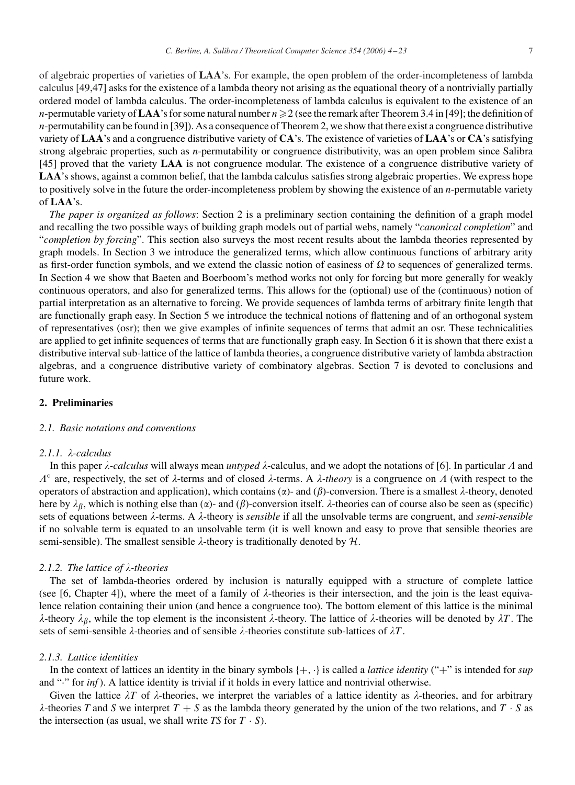<span id="page-3-0"></span>of algebraic properties of varieties of **LAA**'s. For example, the open problem of the order-incompleteness of lambda calculus [4[9,47\]](#page-19-0) asks for the existence of a lambda theory not arising as the equational theory of a nontrivially partially ordered model of lambda calculus. The order-incompleteness of lambda calculus is equivalent to the existence of an *n*-permutable variety of  $\bf{LAA}$ 's for some natural number  $n\geqslant2$  (see the remark after Theorem 3.4 in [49]; the definition of *n*-permutability can be found in [\[39\]\)](#page-19-0). As a consequence of Theorem 2, we show that there exist a congruence distributive variety of **LAA**'s and a congruence distributive variety of **CA**'s. The existence of varieties of **LAA**'s or **CA**'s satisfying strong algebraic properties, such as *n*-permutability or congruence distributivity, was an open problem since Salibra [\[45\]](#page-19-0) proved that the variety **LAA** is not congruence modular. The existence of a congruence distributive variety of LAA's shows, against a common belief, that the lambda calculus satisfies strong algebraic properties. We express hope to positively solve in the future the order-incompleteness problem by showing the existence of an *n*-permutable variety of **LAA**'s.

*The paper is organized as follows*: Section 2 is a preliminary section containing the definition of a graph model and recalling the two possible ways of building graph models out of partial webs, namely "*canonical completion*" and "*completion by forcing*". This section also surveys the most recent results about the lambda theories represented by graph models. In Section [3](#page-7-0) we introduce the generalized terms, which allow continuous functions of arbitrary arity as first-order function symbols, and we extend the classic notion of easiness of  $\Omega$  to sequences of generalized terms. In Section [4](#page-8-0) we show that Baeten and Boerboom's method works not only for forcing but more generally for weakly continuous operators, and also for generalized terms. This allows for the (optional) use of the (continuous) notion of partial interpretation as an alternative to forcing. We provide sequences of lambda terms of arbitrary finite length that are functionally graph easy. In Section [5](#page-11-0) we introduce the technical notions of flattening and of an orthogonal system of representatives (osr); then we give examples of infinite sequences of terms that admit an osr. These technicalities are applied to get infinite sequences of terms that are functionally graph easy. In Section [6](#page-14-0) it is shown that there exist a distributive interval sub-lattice of the lattice of lambda theories, a congruence distributive variety of lambda abstraction algebras, and a congruence distributive variety of combinatory algebras. Section [7](#page-17-0) is devoted to conclusions and future work.

# **2. Preliminaries**

# *2.1. Basic notations and conventions*

# 2.1.1. λ-calculus

In this paper  $\lambda$ -*calculus* will always mean *untyped*  $\lambda$ -calculus, and we adopt the notations of [\[6\].](#page-18-0) In particular  $\Lambda$  and  $\Lambda^{\circ}$  are, respectively, the set of  $\lambda$ -terms and of closed  $\lambda$ -terms. A  $\lambda$ -theory is a congruence on  $\Lambda$  (with respect to the operators of abstraction and application), which contains ( $\alpha$ )- and ( $\beta$ )-conversion. There is a smallest  $\lambda$ -theory, denoted here by  $\lambda_{\beta}$ , which is nothing else than ( $\alpha$ )- and ( $\beta$ )-conversion itself.  $\lambda$ -theories can of course also be seen as (specific) sets of equations between  $\lambda$ -terms. A  $\lambda$ -theory is *sensible* if all the unsolvable terms are congruent, and *semi-sensible* if no solvable term is equated to an unsolvable term (it is well known and easy to prove that sensible theories are semi-sensible). The smallest sensible  $\lambda$ -theory is traditionally denoted by  $\mathcal{H}$ .

# 2.1.2. The lattice of  $\lambda$ -theories

The set of lambda-theories ordered by inclusion is naturally equipped with a structure of complete lattice (see [\[6, Chapter 4\]\)](#page-18-0), where the meet of a family of  $\lambda$ -theories is their intersection, and the join is the least equivalence relation containing their union (and hence a congruence too). The bottom element of this lattice is the minimal  $\lambda$ -theory  $\lambda_{\beta}$ , while the top element is the inconsistent  $\lambda$ -theory. The lattice of  $\lambda$ -theories will be denoted by  $\lambda T$ . The sets of semi-sensible  $\lambda$ -theories and of sensible  $\lambda$ -theories constitute sub-lattices of  $\lambda T$ .

### *2.1.3. Lattice identities*

In the context of lattices an identity in the binary symbols {+*,* ·} is called a *lattice identity* ("+" is intended for *sup* and "·" for *inf* ). A lattice identity is trivial if it holds in every lattice and nontrivial otherwise.

Given the lattice  $\lambda T$  of  $\lambda$ -theories, we interpret the variables of a lattice identity as  $\lambda$ -theories, and for arbitrary  $\lambda$ -theories *T* and *S* we interpret  $T + S$  as the lambda theory generated by the union of the two relations, and  $T \cdot S$  as the intersection (as usual, we shall write  $TS$  for  $T \cdot S$ ).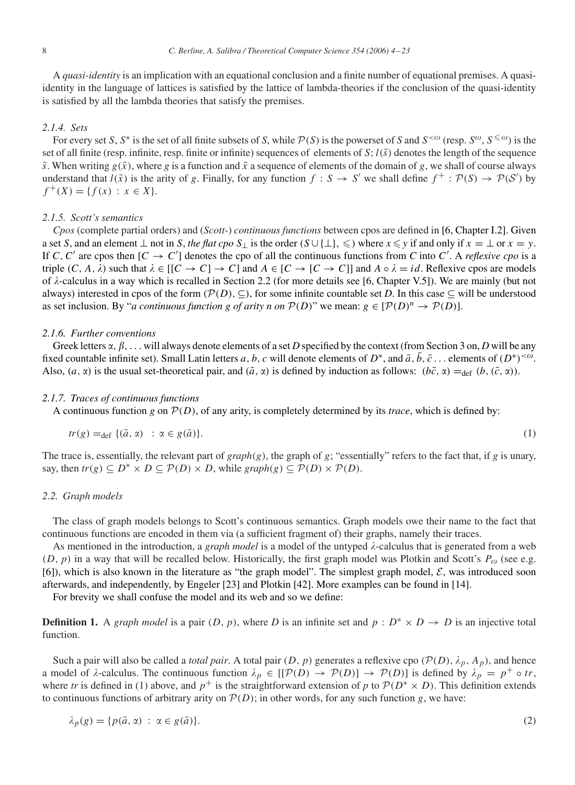<span id="page-4-0"></span>A *quasi-identity* is an implication with an equational conclusion and a finite number of equational premises. A quasiidentity in the language of lattices is satisfied by the lattice of lambda-theories if the conclusion of the quasi-identity is satisfied by all the lambda theories that satisfy the premises.

### *2.1.4. Sets*

For every set *S*, *S*<sup>\*</sup> is the set of all finite subsets of *S*, while  $P(S)$  is the powerset of *S* and  $S^{<\omega}$  (resp.  $S^{\omega}$ ,  $S^{\leq \omega}$ ) is the set of all finite (resp. infinite, resp. finite or infinite) sequences of elements of  $S$ ;  $l(\bar{s})$  denotes the length of the sequence  $\bar{s}$ . When writing  $g(\bar{x})$ , where *g* is a function and  $\bar{x}$  a sequence of elements of the domain of *g*, we shall of course always understand that  $l(\bar{x})$  is the arity of *g*. Finally, for any function  $f : S \to S'$  we shall define  $f^+ : \mathcal{P}(S) \to \mathcal{P}(S')$  by  $f^+(X) = \{f(x) : x \in X\}.$ 

## *2.1.5. Scott's semantics*

*Cpos* (complete partial orders) and (*Scott*-) *continuous functions* between cpos are defined in [\[6, Chapter I.2\].](#page-18-0) Given a set *S*, and an element  $\perp$  not in *S*, the flat cpo  $S_{\perp}$  is the order  $(S \cup \{\perp\}, \leqslant)$  where  $x \leqslant y$  if and only if  $x = \perp$  or  $x = y$ . If *C*, *C'* are cpos then  $[C \to C']$  denotes the cpo of all the continuous functions from *C* into *C'*. A *reflexive cpo* is a triple  $(C, A, \lambda)$  such that  $\lambda \in [[C \to C] \to C]$  and  $A \in [C \to [C \to C]]$  and  $A \circ \lambda = id$ . Reflexive cpos are models of  $\lambda$ -calculus in a way which is recalled in Section 2.2 (for more details see [\[6, Chapter V.5\]\)](#page-18-0). We are mainly (but not always) interested in cpos of the form  $(\mathcal{P}(D), \subseteq)$ , for some infinite countable set *D*. In this case  $\subseteq$  will be understood as set inclusion. By "*a continuous function g of arity n on*  $P(D)$ " we mean:  $g \in [P(D)^n \to P(D)]$ .

#### *2.1.6. Further conventions*

Greek letters  $\alpha$ ,  $\beta$ , ... will always denote elements of a set *D* specified by the context (from Section [3](#page-7-0) on, *D* will be any fixed countable infinite set). Small Latin letters *a*, *b*, *c* will denote elements of  $D^*$ , and  $\bar{a}$ , *b*,  $\bar{c}$ ... elements of  $(D^*)^{<\omega}$ . Also,  $(a, \alpha)$  is the usual set-theoretical pair, and  $(\bar{a}, \alpha)$  is defined by induction as follows:  $(b\bar{c}, \alpha) =_{def} (b, (\bar{c}, \alpha))$ .

#### *2.1.7. Traces of continuous functions*

A continuous function *g* on  $P(D)$ , of any arity, is completely determined by its *trace*, which is defined by:

$$
tr(g) =_{def} \{ (\bar{a}, \alpha) : \alpha \in g(\bar{a}) \}.
$$
 (1)

The trace is, essentially, the relevant part of  $graph(g)$ , the graph of  $g$ ; "essentially" refers to the fact that, if  $g$  is unary, say, then  $tr(g) \subseteq D^* \times D \subseteq \mathcal{P}(D) \times D$ , while  $graph(g) \subseteq \mathcal{P}(D) \times \mathcal{P}(D)$ .

#### *2.2. Graph models*

The class of graph models belongs to Scott's continuous semantics. Graph models owe their name to the fact that continuous functions are encoded in them via (a sufficient fragment of) their graphs, namely their traces.

As mentioned in the introduction, a *graph model* is a model of the untyped  $\lambda$ -calculus that is generated from a web  $(D, p)$  in a way that will be recalled below. Historically, the first graph model was Plotkin and Scott's  $P_{\omega}$  (see e.g. [\[6\]\)](#page-18-0), which is also known in the literature as "the graph model". The simplest graph model,  $\mathcal{E}$ , was introduced soon afterwards, and independently, by Engeler [\[23\]](#page-19-0) and Plotkin [\[42\].](#page-19-0) More examples can be found in [\[14\].](#page-18-0)

For brevity we shall confuse the model and its web and so we define:

**Definition 1.** A *graph model* is a pair  $(D, p)$ , where *D* is an infinite set and  $p : D^* \times D \to D$  is an injective total function.

Such a pair will also be called a *total pair*. A total pair  $(D, p)$  generates a reflexive cpo  $(\mathcal{P}(D), \lambda_p, A_p)$ , and hence a model of  $\lambda$ -calculus. The continuous function  $\lambda_p \in [[\mathcal{P}(D) \to \mathcal{P}(D)] \to \mathcal{P}(D)]$  is defined by  $\lambda_p = p^+ \circ tr$ , where *tr* is defined in (1) above, and  $p^+$  is the straightforward extension of *p* to  $P(D^* \times D)$ . This definition extends to continuous functions of arbitrary arity on  $P(D)$ ; in other words, for any such function *g*, we have:

$$
\lambda_p(g) = \{p(\bar{a}, \alpha) \; : \; \alpha \in g(\bar{a})\}.
$$
\n<sup>(2)</sup>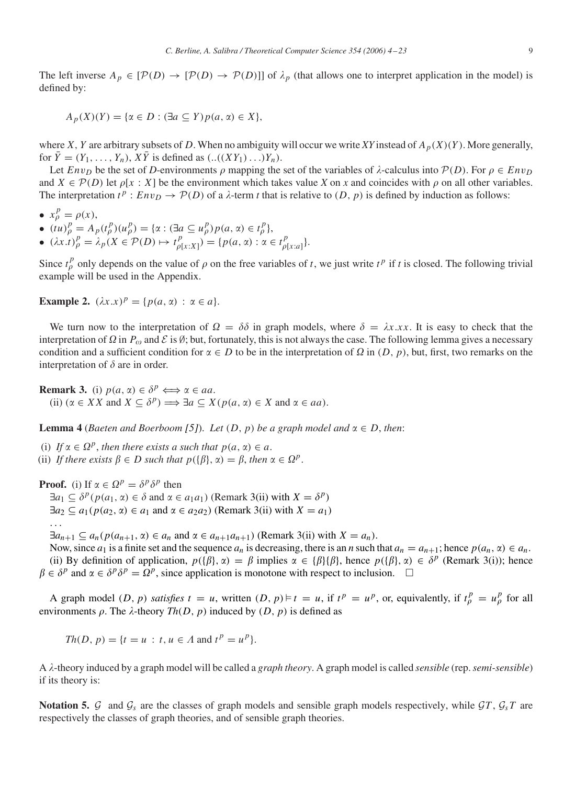<span id="page-5-0"></span>The left inverse  $A_p \in [\mathcal{P}(D) \to [\mathcal{P}(D) \to \mathcal{P}(D)]]$  of  $\lambda_p$  (that allows one to interpret application in the model) is defined by:

 $A_p(X)(Y) = \{ \alpha \in D : (\exists a \subseteq Y) p(a, \alpha) \in X \},\$ 

where *X*, *Y* are arbitrary subsets of *D*. When no ambiguity will occur we write *XY* instead of  $A_p(X)(Y)$ . More generally, for  $\overline{Y} = (Y_1, \ldots, Y_n)$ ,  $X\overline{Y}$  is defined as  $(\ldots((XY_1) \ldots)Y_n)$ .

Let  $Env_D$  be the set of *D*-environments  $\rho$  mapping the set of the variables of  $\lambda$ -calculus into  $P(D)$ . For  $\rho \in Env_D$ and  $X \in \mathcal{P}(D)$  let  $\rho[x : X]$  be the environment which takes value *X* on *x* and coincides with  $\rho$  on all other variables. The interpretation  $t^p : Env_D \rightarrow \mathcal{P}(D)$  of a  $\lambda$ -term *t* that is relative to  $(D, p)$  is defined by induction as follows:

$$
\bullet \ \ x_{\rho}^{p} = \rho(x),
$$

- $(tu)_{\rho}^{p} = A_{p}(t_{\rho}^{p})(u_{\rho}^{p}) = {\alpha : (\exists a \subseteq u_{\rho}^{p})p(a, \alpha) \in t_{\rho}^{p}}},$
- $(\lambda x. t)_\rho^p = \lambda_p(X \in \mathcal{P}(D) \mapsto t_{\rho[x:X]}^p) = \{p(a, \alpha) : \alpha \in t_{\rho[x:a]}^p\}.$

Since  $t_p^p$  only depends on the value of  $\rho$  on the free variables of *t*, we just write  $t^p$  if *t* is closed. The following trivial example will be used in the Appendix.

**Example 2.**  $(\lambda x . x)^p = \{p(a, \alpha) : \alpha \in a\}.$ 

We turn now to the interpretation of  $\Omega = \delta \delta$  in graph models, where  $\delta = \lambda x.x.x$ . It is easy to check that the interpretation of  $\Omega$  in  $P_{\omega}$  and  $\mathcal E$  is Ø; but, fortunately, this is not always the case. The following lemma gives a necessary condition and a sufficient condition for  $\alpha \in D$  to be in the interpretation of  $\Omega$  in  $(D, p)$ , but, first, two remarks on the interpretation of  $\delta$  are in order.

**Remark 3.** (i)  $p(a, \alpha) \in \delta^p \Longleftrightarrow \alpha \in aa$ . (ii)  $(\alpha \in X X \text{ and } X \subseteq \delta^p) \Longrightarrow \exists a \subseteq X(p(a, \alpha) \in X \text{ and } \alpha \in aa).$ 

**Lemma 4** (*Baeten and Boerboom* [\[5\]](#page-18-0)). Let  $(D, p)$  be a graph model and  $\alpha \in D$ , then:

(i) If  $\alpha \in \Omega^p$ , then there exists a such that  $p(a, \alpha) \in a$ . (ii) *If there exists*  $\beta \in D$  *such that*  $p({\beta}, \alpha) = \beta$ *, then*  $\alpha \in \Omega^p$ *.* 

**Proof.** (i) If  $\alpha \in \Omega^p = \delta^p \delta^p$  then

 $\exists a_1 \subseteq \delta^p(p(a_1, \alpha) \in \delta \text{ and } \alpha \in a_1a_1)$  (Remark 3(ii) with  $X = \delta^p$ )  $\exists a_2 \subseteq a_1(p(a_2, \alpha) \in a_1 \text{ and } \alpha \in a_2a_2)$  (Remark 3(ii) with  $X = a_1$ ) *...*

 $\exists a_{n+1} \subseteq a_n(p(a_{n+1}, \alpha) \in a_n \text{ and } \alpha \in a_{n+1}a_{n+1})$  (Remark 3(ii) with  $X = a_n$ ).

Now, since  $a_1$  is a finite set and the sequence  $a_n$  is decreasing, there is an *n* such that  $a_n = a_{n+1}$ ; hence  $p(a_n, \alpha) \in a_n$ . (ii) By definition of application,  $p({\{\beta\}}, \alpha) = \beta$  implies  $\alpha \in {\{\beta\}}{\{\beta\}},$  hence  $p({\{\beta\}}, \alpha) \in \delta^p$  (Remark 3(i)); hence  $\beta \in \delta^p$  and  $\alpha \in \delta^p \delta^p = \Omega^p$ , since application is monotone with respect to inclusion.  $\square$ 

A graph model  $(D, p)$  *satisfies*  $t = u$ , written  $(D, p) \models t = u$ , if  $t^p = u^p$ , or, equivalently, if  $t^p_\rho = u^p_\rho$  for all environments  $\rho$ . The  $\lambda$ -theory  $Th(D, p)$  induced by  $(D, p)$  is defined as

$$
Th(D, p) = \{t = u : t, u \in A \text{ and } t^p = u^p\}.
$$

A --theory induced by a graph model will be called a *graph theory*. A graph model is called *sensible* (rep.*semi-sensible*) if its theory is:

**Notation 5.** G and  $\mathcal{G}_s$  are the classes of graph models and sensible graph models respectively, while  $\mathcal{G}T$ ,  $\mathcal{G}_sT$  are respectively the classes of graph theories, and of sensible graph theories.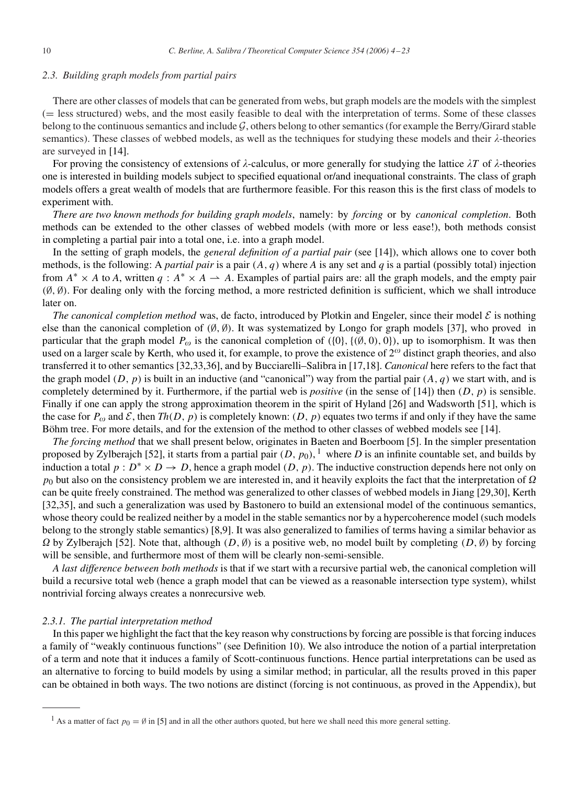## *2.3. Building graph models from partial pairs*

There are other classes of models that can be generated from webs, but graph models are the models with the simplest (= less structured) webs, and the most easily feasible to deal with the interpretation of terms. Some of these classes belong to the continuous semantics and include  $G$ , others belong to other semantics (for example the Berry/Girard stable semantics). These classes of webbed models, as well as the techniques for studying these models and their  $\lambda$ -theories are surveyed in [\[14\].](#page-18-0)

For proving the consistency of extensions of  $\lambda$ -calculus, or more generally for studying the lattice  $\lambda T$  of  $\lambda$ -theories one is interested in building models subject to specified equational or/and inequational constraints. The class of graph models offers a great wealth of models that are furthermore feasible. For this reason this is the first class of models to experiment with.

*There are two known methods for building graph models*, namely: by *forcing* or by *canonical completion*. Both methods can be extended to the other classes of webbed models (with more or less ease!), both methods consist in completing a partial pair into a total one, i.e. into a graph model.

In the setting of graph models, the *general definition of a partial pair* (see [\[14\]\)](#page-18-0), which allows one to cover both methods, is the following: A *partial pair* is a pair *(A, q)* where *A* is any set and *q* is a partial (possibly total) injection from  $A^* \times A$  to *A*, written  $q : A^* \times A \to A$ . Examples of partial pairs are: all the graph models, and the empty pair *(*∅*,* ∅*)*. For dealing only with the forcing method, a more restricted definition is sufficient, which we shall introduce later on.

*The canonical completion method* was, de facto, introduced by Plotkin and Engeler, since their model  $\mathcal E$  is nothing else than the canonical completion of *(*∅*,* ∅*)*. It was systematized by Longo for graph models [\[37\],](#page-19-0) who proved in particular that the graph model  $P_{\omega}$  is the canonical completion of  $(\{0\}, \{(0, 0, 0\})$ , up to isomorphism. It was then used on a larger scale by Kerth, who used it, for example, to prove the existence of  $2^\omega$  distinct graph theories, and also transferred it to other semantics [\[32,33,36\],](#page-19-0) and by Bucciarelli–Salibra in [\[17,18\].](#page-19-0) *Canonical* here refers to the fact that the graph model  $(D, p)$  is built in an inductive (and "canonical") way from the partial pair  $(A, q)$  we start with, and is completely determined by it. Furthermore, if the partial web is *positive* (in the sense of [\[14\]\)](#page-18-0) then *(D, p)* is sensible. Finally if one can apply the strong approximation theorem in the spirit of Hyland [\[26\]](#page-19-0) and Wadsworth [51], which is the case for  $P_{\omega}$  and  $\mathcal{E}$ , then  $Th(D, p)$  is completely known:  $(D, p)$  equates two terms if and only if they have the same Böhm tree. For more details, and for the extension of the method to other classes of webbed models see [\[14\].](#page-18-0)

*The forcing method* that we shall present below, originates in Baeten and Boerboom [\[5\].](#page-18-0) In the simpler presentation proposed by Zylberajch [52], it starts from a partial pair  $(D, p_0)$ , <sup>1</sup> where *D* is an infinite countable set, and builds by induction a total  $p : D^* \times D \to D$ , hence a graph model  $(D, p)$ . The inductive construction depends here not only on  $p_0$  but also on the consistency problem we are interested in, and it heavily exploits the fact that the interpretation of  $\Omega$ can be quite freely constrained. The method was generalized to other classes of webbed models in Jiang [\[29,30\],](#page-19-0) Kerth [\[32,35\],](#page-19-0) and such a generalization was used by Bastonero to build an extensional model of the continuous semantics, whose theory could be realized neither by a model in the stable semantics nor by a hypercoherence model (such models belong to the strongly stable semantics) [\[8,9\].](#page-18-0) It was also generalized to families of terms having a similar behavior as  $\Omega$  by Zylberajch [52]. Note that, although  $(D, \emptyset)$  is a positive web, no model built by completing  $(D, \emptyset)$  by forcing will be sensible, and furthermore most of them will be clearly non-semi-sensible.

*A last difference between both methods* is that if we start with a recursive partial web, the canonical completion will build a recursive total web (hence a graph model that can be viewed as a reasonable intersection type system), whilst nontrivial forcing always creates a nonrecursive web.

### *2.3.1. The partial interpretation method*

In this paper we highlight the fact that the key reason why constructions by forcing are possible is that forcing induces a family of "weakly continuous functions" (see Definition [10\)](#page-8-0). We also introduce the notion of a partial interpretation of a term and note that it induces a family of Scott-continuous functions. Hence partial interpretations can be used as an alternative to forcing to build models by using a similar method; in particular, all the results proved in this paper can be obtained in both ways. The two notions are distinct (forcing is not continuous, as proved in the Appendix), but

<sup>&</sup>lt;sup>1</sup> As a matter of fact  $p_0 = \emptyset$  in [\[5\]](#page-18-0) and in all the other authors quoted, but here we shall need this more general setting.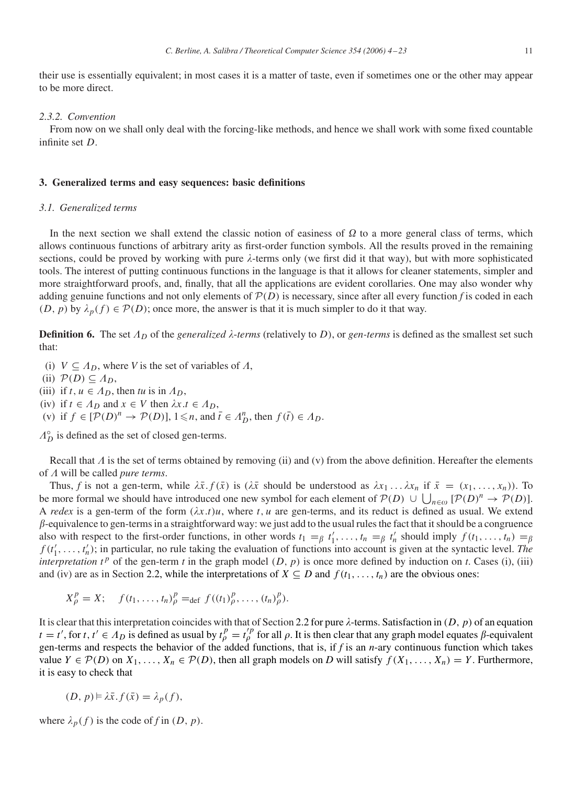<span id="page-7-0"></span>their use is essentially equivalent; in most cases it is a matter of taste, even if sometimes one or the other may appear to be more direct.

#### *2.3.2. Convention*

From now on we shall only deal with the forcing-like methods, and hence we shall work with some fixed countable infinite set *D*.

#### **3. Generalized terms and easy sequences: basic definitions**

#### *3.1. Generalized terms*

In the next section we shall extend the classic notion of easiness of  $\Omega$  to a more general class of terms, which allows continuous functions of arbitrary arity as first-order function symbols. All the results proved in the remaining sections, could be proved by working with pure  $\lambda$ -terms only (we first did it that way), but with more sophisticated tools. The interest of putting continuous functions in the language is that it allows for cleaner statements, simpler and more straightforward proofs, and, finally, that all the applications are evident corollaries. One may also wonder why adding genuine functions and not only elements of  $\mathcal{P}(D)$  is necessary, since after all every function f is coded in each  $(D, p)$  by  $\lambda_p(f) \in \mathcal{P}(D)$ ; once more, the answer is that it is much simpler to do it that way.

**Definition 6.** The set  $\Lambda_D$  of the *generalized*  $\lambda$ -terms (relatively to *D*), or *gen*-terms is defined as the smallest set such that:

- (i)  $V \subseteq A_D$ , where *V* is the set of variables of  $A$ ,
- (ii)  $\mathcal{P}(D) \subseteq \Lambda_D$ ,
- (iii) if  $t, u \in A_D$ , then  $tu$  is in  $A_D$ ,
- (iv) if  $t \in A_D$  and  $x \in V$  then  $\lambda x. t \in A_D$ ,
- (v) if  $f \in [\mathcal{P}(D)^n \to \mathcal{P}(D)]$ ,  $1 \le n$ , and  $\bar{t} \in A_D^n$ , then  $f(\bar{t}) \in A_D$ .

 $A_D^{\circ}$  is defined as the set of closed gen-terms.

Recall that  $\Lambda$  is the set of terms obtained by removing (ii) and (v) from the above definition. Hereafter the elements of  $\Lambda$  will be called *pure terms*.

Thus, *f* is not a gen-term, while  $\lambda \bar{x}$ .  $f(\bar{x})$  is ( $\lambda \bar{x}$  should be understood as  $\lambda x_1 \ldots \lambda x_n$  if  $\bar{x} = (x_1, \ldots, x_n)$ ). To be more formal we should have introduced one new symbol for each element of  $P(D) \cup \bigcup_{n \in \omega} [P(D)^n \to P(D)].$ A *redex* is a gen-term of the form  $(\lambda x.t)u$ , where *t*, *u* are gen-terms, and its reduct is defined as usual. We extend  $\beta$ -equivalence to gen-terms in a straightforward way: we just add to the usual rules the fact that it should be a congruence also with respect to the first-order functions, in other words  $t_1 = \beta t'_1, \ldots, t_n = \beta t'_n$  should imply  $f(t_1, \ldots, t_n) = \beta$  $f(t'_1, \ldots, t'_n)$ ; in particular, no rule taking the evaluation of functions into account is given at the syntactic level. The *interpretation*  $t^p$  of the gen-term *t* in the graph model  $(D, p)$  is once more defined by induction on *t*. Cases (i), (iii) and (iv) are as in Section [2.2,](#page-4-0) while the interpretations of  $X \subseteq D$  and  $f(t_1, \ldots, t_n)$  are the obvious ones:

$$
X_{\rho}^{p} = X;
$$
  $f(t_1, ..., t_n)_{\rho}^{p} =_{def} f((t_1)_{\rho}^{p}, ..., (t_n)_{\rho}^{p}).$ 

It is clear that this interpretation coincides with that of Section [2.2](#page-4-0) for pure  $\lambda$ -terms. Satisfaction in  $(D, p)$  of an equation  $t = t'$ , for  $t, t' \in A_D$  is defined as usual by  $t_p^p = t_p'^p$  for all  $\rho$ . It is then clear that any graph model equates  $\beta$ -equivalent gen-terms and respects the behavior of the added functions, that is, if *f* is an *n*-ary continuous function which takes value *Y* ∈  $P(D)$  on  $X_1, ..., X_n$  ∈  $P(D)$ , then all graph models on *D* will satisfy  $f(X_1, ..., X_n) = Y$ . Furthermore, it is easy to check that

$$
(D, p) \models \lambda \bar{x}. f(\bar{x}) = \lambda_p(f),
$$

where  $\lambda_p(f)$  is the code of *f* in  $(D, p)$ .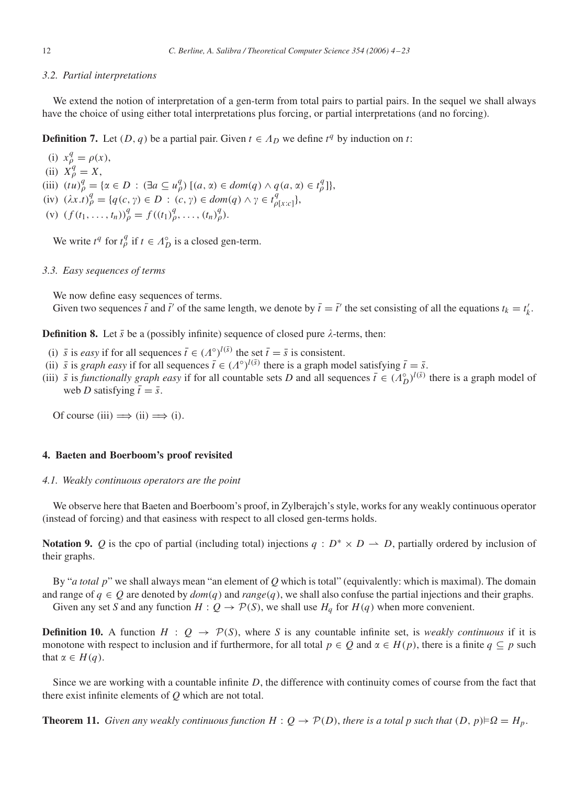# <span id="page-8-0"></span>*3.2. Partial interpretations*

We extend the notion of interpretation of a gen-term from total pairs to partial pairs. In the sequel we shall always have the choice of using either total interpretations plus forcing, or partial interpretations (and no forcing).

**Definition 7.** Let  $(D, q)$  be a partial pair. Given  $t \in \Lambda_D$  we define  $t^q$  by induction on t:

(i)  $x_{\rho}^{q} = \rho(x),$ (ii)  $X_{\rho}^{q} = X$ , (iii)  $(tu)_{\rho}^{q} = {\alpha \in D : (\exists a \subseteq u_{\rho}^{q}) [(a, \alpha) \in dom(q) \land q(a, \alpha) \in t_{\rho}^{q}]},$  $(iv)$   $(\lambda x. t)_{\rho}^{q} = \{q(c, \gamma) \in D : (c, \gamma) \in dom(q) \land \gamma \in t_{\rho[x:c]}^{q}\},$ (v)  $(f(t_1, ..., t_n))^q_\rho = f((t_1)^q_\rho, ..., (t_n)^q_\rho).$ 

We write  $t^q$  for  $t^q_\rho$  if  $t \in A_D^\circ$  is a closed gen-term.

## *3.3. Easy sequences of terms*

We now define easy sequences of terms.

Given two sequences  $\bar{t}$  and  $\bar{t}'$  of the same length, we denote by  $\bar{t} = \bar{t}'$  the set consisting of all the equations  $t_k = t'_k$ .

**Definition 8.** Let  $\bar{s}$  be a (possibly infinite) sequence of closed pure  $\lambda$ -terms, then:

- (i)  $\bar{s}$  is *easy* if for all sequences  $\bar{t} \in (A^{\circ})^{l(\bar{s})}$  the set  $\bar{t} = \bar{s}$  is consistent.
- (ii)  $\bar{s}$  is *graph easy* if for all sequences  $\bar{t} \in (A^{\circ})^{l(\bar{s})}$  there is a graph model satisfying  $\bar{t} = \bar{s}$ .
- (iii)  $\bar{s}$  is *functionally graph easy* if for all countable sets *D* and all sequences  $\bar{t} \in (A_D^{\circ})^{l(\bar{s})}$  there is a graph model of web *D* satisfying  $\bar{t} = \bar{s}$ .

Of course  $(iii) \implies (ii) \implies (i)$ .

### **4. Baeten and Boerboom's proof revisited**

#### *4.1. Weakly continuous operators are the point*

We observe here that Baeten and Boerboom's proof, in Zylberajch's style, works for any weakly continuous operator (instead of forcing) and that easiness with respect to all closed gen-terms holds.

**Notation 9.** *Q* is the cpo of partial (including total) injections  $q : D^* \times D \rightarrow D$ , partially ordered by inclusion of their graphs.

By "*a total p*" we shall always mean "an element of *Q* which is total" (equivalently: which is maximal). The domain and range of  $q \in Q$  are denoted by  $dom(q)$  and  $range(q)$ , we shall also confuse the partial injections and their graphs. Given any set *S* and any function  $H: Q \to \mathcal{P}(S)$ , we shall use  $H_q$  for  $H(q)$  when more convenient.

**Definition 10.** A function  $H : Q \rightarrow \mathcal{P}(S)$ , where *S* is any countable infinite set, is *weakly continuous* if it is monotone with respect to inclusion and if furthermore, for all total  $p \in Q$  and  $\alpha \in H(p)$ , there is a finite  $q \subseteq p$  such that  $\alpha \in H(q)$ .

Since we are working with a countable infinite *D*, the difference with continuity comes of course from the fact that there exist infinite elements of *Q* which are not total.

**Theorem 11.** *Given any weakly continuous function*  $H: Q \to \mathcal{P}(D)$ *, there is a total p such that*  $(D, p) \models \Omega = H_p$ *.*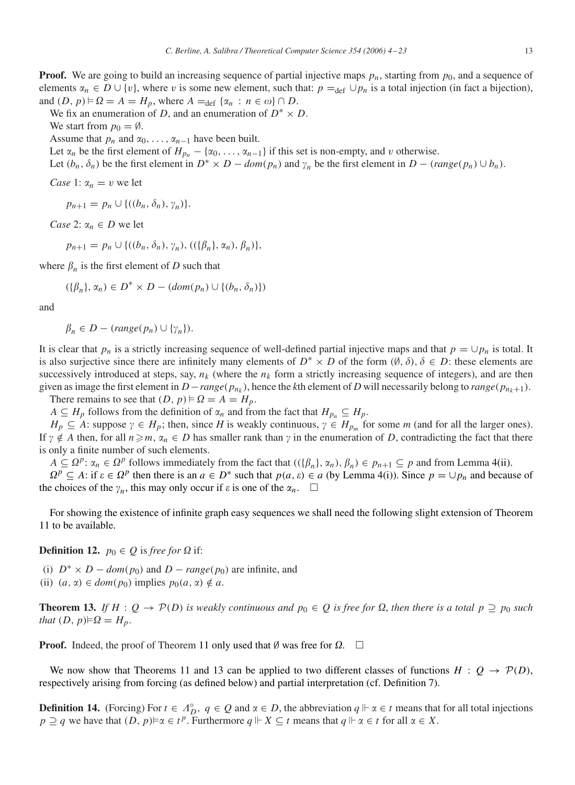<span id="page-9-0"></span>**Proof.** We are going to build an increasing sequence of partial injective maps  $p_n$ , starting from  $p_0$ , and a sequence of elements  $\alpha_n \in D \cup \{v\}$ , where *v* is some new element, such that:  $p =_{def} \cup p_n$  is a total injection (in fact a bijection), and  $(D, p) \models \Omega = A = H_p$ , where  $A = \text{def } \{\alpha_n : n \in \omega\} \cap D$ .

We fix an enumeration of *D*, and an enumeration of  $D^* \times D$ .

We start from  $p_0 = \emptyset$ .

Assume that  $p_n$  and  $\alpha_0, \ldots, \alpha_{n-1}$  have been built.

Let  $\alpha_n$  be the first element of  $H_{p_n} - {\alpha_0, \ldots, \alpha_{n-1}}$  if this set is non-empty, and *v* otherwise.

Let  $(b_n, \delta_n)$  be the first element in  $D^* \times D - \text{dom}(p_n)$  and  $\gamma_n$  be the first element in  $D - \text{range}(p_n) \cup b_n$ .

*Case* 1:  $\alpha_n = v$  we let

 $p_{n+1} = p_n \cup \{((b_n, \delta_n), \gamma_n)\}.$ 

*Case* 2:  $\alpha_n \in D$  we let

$$
p_{n+1} = p_n \cup \{((b_n, \delta_n), \gamma_n), ((\{\beta_n\}, \alpha_n), \beta_n)\},\
$$

where  $\beta_n$  is the first element of *D* such that

$$
(\{\beta_n\}, \alpha_n) \in D^* \times D - (dom(p_n) \cup \{(b_n, \delta_n)\})
$$

and

 $\beta_n \in D - (range(p_n) \cup \{\gamma_n\}).$ 

It is clear that  $p_n$  is a strictly increasing sequence of well-defined partial injective maps and that  $p = \bigcup p_n$  is total. It is also surjective since there are infinitely many elements of  $D^* \times D$  of the form  $(\emptyset, \delta)$ ,  $\delta \in D$ : these elements are successively introduced at steps, say,  $n_k$  (where the  $n_k$  form a strictly increasing sequence of integers), and are then given as image the first element in  $D$ −*range*( $p_{n_k}$ ), hence the *k*th element of *D* will necessarily belong to *range*( $p_{n_k+1}$ ). There remains to see that  $(D, p) \models \Omega = A = H_p$ .

*A* ⊆ *H<sub>p</sub>* follows from the definition of  $\alpha_n$  and from the fact that  $H_{p_n}$  ⊆  $H_p$ .

 $H_p \subseteq A$ : suppose  $\gamma \in H_p$ ; then, since *H* is weakly continuous,  $\gamma \in H_{p_m}$  for some *m* (and for all the larger ones). If  $\gamma \notin A$  then, for all  $n \ge m$ ,  $\alpha_n \in D$  has smaller rank than  $\gamma$  in the enumeration of *D*, contradicting the fact that there is only a finite number of such elements.

*A* ⊆  $\Omega^p$ :  $\alpha_n \in \Omega^p$  follows immediately from the fact that  $((\{\beta_n\}, \alpha_n), \beta_n) \in p_{n+1} \subseteq p$  and from Lemma [4\(](#page-5-0)ii).

 $\Omega^p$  ⊆ *A*: if  $\varepsilon \in \Omega^p$  then there is an  $a \in D^*$  such that  $p(a, \varepsilon) \in a$  (by Lemma [4\(](#page-5-0)i)). Since  $p = \bigcup p_n$  and because of the choices of the  $\gamma_n$ , this may only occur if  $\varepsilon$  is one of the  $\alpha_n$ .  $\square$ 

For showing the existence of infinite graph easy sequences we shall need the following slight extension of Theorem [11](#page-8-0) to be available.

**Definition 12.**  $p_0 \in Q$  is free for  $\Omega$  if:

(i)  $D^* \times D - \text{dom}(p_0)$  and  $D - \text{range}(p_0)$  are infinite, and

(ii)  $(a, \alpha) \in dom(p_0)$  implies  $p_0(a, \alpha) \notin a$ .

**Theorem 13.** If  $H: Q \to \mathcal{P}(D)$  is weakly continuous and  $p_0 \in Q$  is free for  $\Omega$ , then there is a total  $p \supseteq p_0$  such *that*  $(D, p) \models \Omega = H_p$ .

**Proof.** Indeed, the proof of Theorem [11](#page-8-0) only used that  $\emptyset$  was free for  $\Omega$ .  $\Box$ 

We now show that Theorems [11](#page-8-0) and 13 can be applied to two different classes of functions  $H: Q \to \mathcal{P}(D)$ , respectively arising from forcing (as defined below) and partial interpretation (cf. Definition [7\)](#page-8-0).

**Definition 14.** (Forcing) For  $t \in A_D^{\circ}$ ,  $q \in Q$  and  $\alpha \in D$ , the abbreviation  $q \Vdash \alpha \in t$  means that for all total injections *p* ⊇ *q* we have that  $(D, p) \models \alpha \in t^p$ . Furthermore  $q \Vdash X \subseteq t$  means that  $q \Vdash \alpha \in t$  for all  $\alpha \in X$ .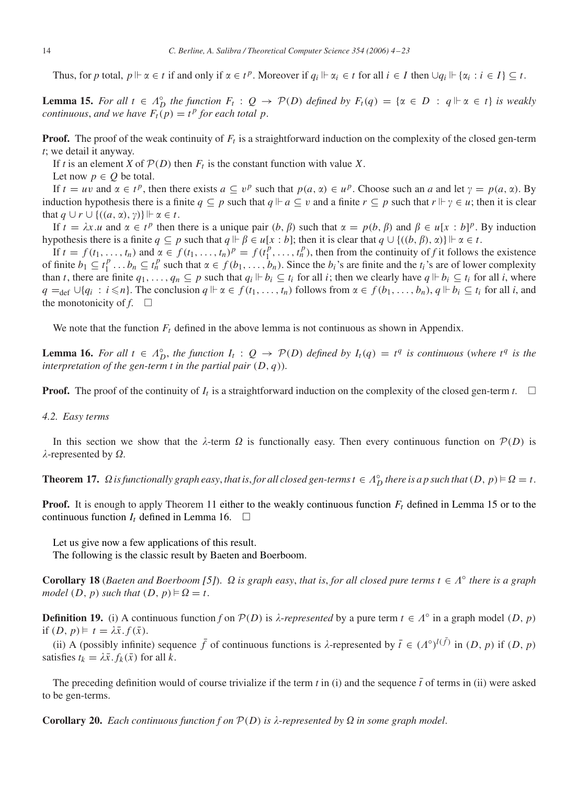<span id="page-10-0"></span>Thus, for *p* total,  $p \Vdash \alpha \in t$  if and only if  $\alpha \in t^p$ . Moreover if  $q_i \Vdash \alpha_i \in t$  for all  $i \in I$  then  $\bigcup q_i \Vdash {\alpha_i : i \in I} \subseteq t$ .

**Lemma 15.** For all  $t \in \Lambda_D^{\circ}$  the function  $F_t : Q \to P(D)$  defined by  $F_t(q) = \{ \alpha \in D : q \Vdash \alpha \in t \}$  is weakly *continuous, and we have*  $F_t(p) = t^p$  *for each total p*.

**Proof.** The proof of the weak continuity of  $F_t$  is a straightforward induction on the complexity of the closed gen-term *t*; we detail it anyway.

If *t* is an element *X* of  $P(D)$  then  $F_t$  is the constant function with value *X*.

Let now  $p \in Q$  be total.

If  $t = uv$  and  $\alpha \in t^p$ , then there exists  $a \subseteq v^p$  such that  $p(a, \alpha) \in u^p$ . Choose such an *a* and let  $\gamma = p(a, \alpha)$ . By induction hypothesis there is a finite  $q \subseteq p$  such that  $q \not\vdash a \subseteq v$  and a finite  $r \subseteq p$  such that  $r \not\vdash y \in u$ ; then it is clear that  $q \cup r \cup \{((a, \alpha), \gamma)\} \Vdash \alpha \in t$ .

If  $t = \lambda x \cdot u$  and  $\alpha \in t^p$  then there is a unique pair  $(b, \beta)$  such that  $\alpha = p(b, \beta)$  and  $\beta \in u[x : b]^p$ . By induction hypothesis there is a finite  $q \subseteq p$  such that  $q \Vdash \beta \in u[x:b]$ ; then it is clear that  $q \cup \{((b, \beta), \alpha)\}\Vdash \alpha \in t$ .

If  $t = f(t_1, \ldots, t_n)$  and  $\alpha \in f(t_1, \ldots, t_n)^p = f(t_1^p, \ldots, t_n^p)$ , then from the continuity of *f* it follows the existence of finite  $b_1 \subseteq t_1^p \dots b_n \subseteq t_n^p$  such that  $\alpha \in f(b_1, \dots, b_n)$ . Since the  $b_i$ 's are finite and the  $t_i$ 's are of lower complexity than *t*, there are finite  $q_1, \ldots, q_n \subseteq p$  such that  $q_i \Vdash b_i \subseteq t_i$  for all *i*; then we clearly have  $q \Vdash b_i \subseteq t_i$  for all *i*, where *q* =def ∪{*q<sub>i</sub>* : *i* ≤*n*}. The conclusion *q*  $\Vdash \alpha \in f(t_1, \ldots, t_n)$  follows from  $\alpha \in f(b_1, \ldots, b_n)$ , *q*  $\Vdash b_i \subseteq t_i$  for all *i*, and the monotonicity of  $f$ .  $\Box$ 

We note that the function  $F_t$  defined in the above lemma is not continuous as shown in Appendix.

**Lemma 16.** For all  $t \in \Lambda_D^{\circ}$ , the function  $I_t: Q \to \mathcal{P}(D)$  defined by  $I_t(q) = t^q$  is continuous (where  $t^q$  is the *interpretation of the gen-term t in the partial pair (D, q)*).

**Proof.** The proof of the continuity of  $I_t$  is a straightforward induction on the complexity of the closed gen-term  $t$ .

#### *4.2. Easy terms*

In this section we show that the  $\lambda$ -term  $\Omega$  is functionally easy. Then every continuous function on  $\mathcal{P}(D)$  is  $\lambda$ -represented by  $\Omega$ .

**Theorem 17.**  $\Omega$  is functionally graph easy, that is, for all closed gen-terms  $t \in \Lambda_D^{\circ}$  there is a p such that  $(D, p) \models \Omega = t$ .

**Proof.** It is enough to apply Theorem [11](#page-8-0) either to the weakly continuous function  $F_t$  defined in Lemma 15 or to the continuous function  $I_t$  defined in Lemma 16.  $\Box$ 

Let us give now a few applications of this result.

The following is the classic result by Baeten and Boerboom.

**Corollary 18** (*Baeten and Boerboom* [\[5\]](#page-18-0)).  $\Omega$  *is graph easy, that is, for all closed pure terms*  $t \in \Lambda^{\circ}$  *there is a graph model*  $(D, p)$  *such that*  $(D, p) \models \Omega = t$ .

**Definition 19.** (i) A continuous function *f* on  $P(D)$  is  $\lambda$ -represented by a pure term  $t \in \Lambda^{\circ}$  in a graph model  $(D, p)$ if  $(D, p) \models t = \lambda \bar{x}.f(\bar{x}).$ 

(ii) A (possibly infinite) sequence  $\bar{f}$  of continuous functions is  $\lambda$ -represented by  $\bar{t} \in (A^{\circ})^{l(\bar{f})}$  in  $(D, p)$  if  $(D, p)$ satisfies  $t_k = \lambda \bar{x}$ .  $f_k(\bar{x})$  for all *k*.

The preceding definition would of course trivialize if the term  $t$  in (i) and the sequence  $\bar{t}$  of terms in (ii) were asked to be gen-terms.

**Corollary 20.** *Each continuous function f on*  $P(D)$  *is*  $\lambda$ -represented by  $\Omega$  *in some graph model.*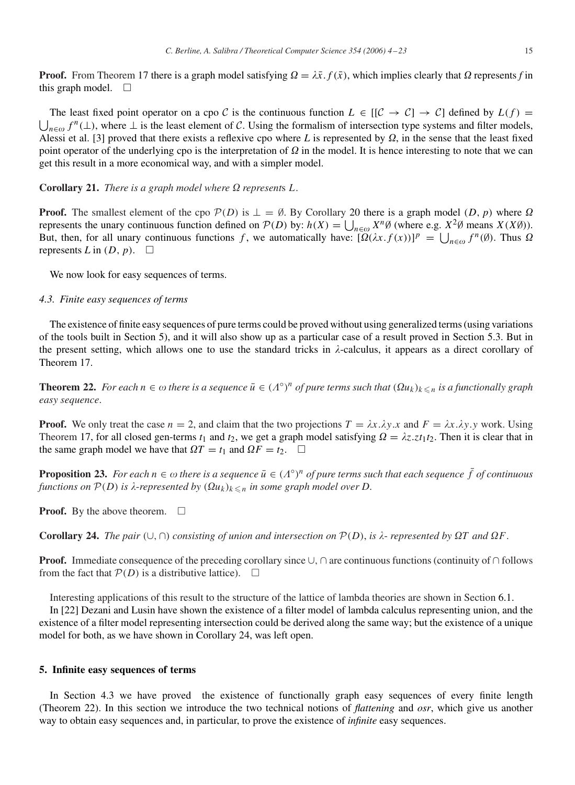<span id="page-11-0"></span>**Proof.** From Theorem [17](#page-10-0) there is a graph model satisfying  $\Omega = \lambda \bar{x}$ .  $f(\bar{x})$ , which implies clearly that  $\Omega$  represents f in this graph model.  $\square$ 

 $\bigcup_{n\in\omega}f^n(\perp)$ , where  $\perp$  is the least element of C. Using the formalism of intersection type systems and filter models, The least fixed point operator on a cpo C is the continuous function  $L \in [[\mathcal{C} \to \mathcal{C}] \to \mathcal{C}]$  defined by  $L(f) =$ Alessi et al. [\[3\]](#page-18-0) proved that there exists a reflexive cpo where L is represented by  $\Omega$ , in the sense that the least fixed point operator of the underlying cpo is the interpretation of  $\Omega$  in the model. It is hence interesting to note that we can get this result in a more economical way, and with a simpler model.

**Corollary 21.** *There is a graph model where*  $\Omega$  *represents*  $L$ .

**Proof.** The smallest element of the cpo  $\mathcal{P}(D)$  is  $\perp = \emptyset$ . By Corollary [20](#page-10-0) there is a graph model  $(D, p)$  where  $\Omega$ represents the unary continuous function defined on  $P(D)$  by:  $h(X) = \bigcup_{n \in \omega} X^n \emptyset$  (where e.g.  $X^2 \emptyset$  means  $X(X\emptyset)$ ). But, then, for all unary continuous functions *f*, we automatically have:  $[\Omega(\lambda x.f(x))]^p = \bigcup_{n \in \omega} f^n(\emptyset)$ . Thus  $\Omega$ represents *L* in  $(D, p)$ .  $\Box$ 

We now look for easy sequences of terms.

#### *4.3. Finite easy sequences of terms*

The existence of finite easy sequences of pure terms could be proved without using generalized terms (using variations of the tools built in Section 5), and it will also show up as a particular case of a result proved in Section [5.3.](#page-13-0) But in the present setting, which allows one to use the standard tricks in  $\lambda$ -calculus, it appears as a direct corollary of Theorem [17.](#page-10-0)

**Theorem 22.** *For each*  $n \in \omega$  *there is a sequence*  $\bar{u} \in (A^{\circ})^n$  *of pure terms such that*  $(\Omega u_k)_{k \leq n}$  *is a functionally graph easy sequence*.

**Proof.** We only treat the case  $n = 2$ , and claim that the two projections  $T = \lambda x \cdot \lambda y \cdot x$  and  $F = \lambda x \cdot \lambda y \cdot y$  work. Using Theorem [17,](#page-10-0) for all closed gen-terms  $t_1$  and  $t_2$ , we get a graph model satisfying  $\Omega = \lambda z. z t_1 t_2$ . Then it is clear that in the same graph model we have that  $\Omega T = t_1$  and  $\Omega F = t_2$ .  $\Box$ 

**Proposition 23.** *For each*  $n \in \omega$  *there is a sequence*  $\bar{u} \in (A^{\circ})^n$  *of pure terms such that each sequence*  $\bar{f}$  *of continuous functions on*  $\mathcal{P}(D)$  *is*  $\lambda$ -represented by  $(\Omega u_k)_{k \leq n}$  *in some graph model over*  $D$ .

**Proof.** By the above theorem.  $\Box$ 

**Corollary 24.** *The pair*  $(\cup, \cap)$  *consisting of union and intersection on*  $P(D)$ *, is*  $\lambda$ -*represented by*  $\Omega T$  *and*  $\Omega F$ *.* 

**Proof.** Immediate consequence of the preceding corollary since ∪, ∩ are continuous functions (continuity of ∩ follows from the fact that  $P(D)$  is a distributive lattice).  $\Box$ 

Interesting applications of this result to the structure of the lattice of lambda theories are shown in Section [6.1.](#page-14-0)

In [\[22\]](#page-19-0) Dezani and Lusin have shown the existence of a filter model of lambda calculus representing union, and the existence of a filter model representing intersection could be derived along the same way; but the existence of a unique model for both, as we have shown in Corollary 24, was left open.

## **5. Infinite easy sequences of terms**

In Section 4.3 we have proved the existence of functionally graph easy sequences of every finite length (Theorem 22). In this section we introduce the two technical notions of *flattening* and *osr*, which give us another way to obtain easy sequences and, in particular, to prove the existence of *infinite* easy sequences.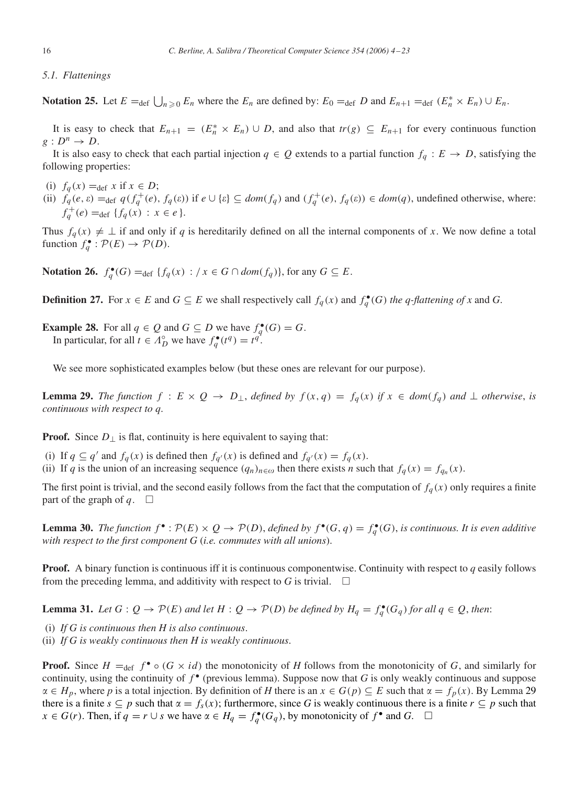#### <span id="page-12-0"></span>*5.1. Flattenings*

**Notation 25.** Let  $E = \text{def } \bigcup_{n \geq 0} E_n$  where the  $E_n$  are defined by:  $E_0 = \text{def } D$  and  $E_{n+1} = \text{def } (E_n^* \times E_n) \cup E_n$ .

It is easy to check that  $E_{n+1} = (E_n^* \times E_n) \cup D$ , and also that  $tr(g) \subseteq E_{n+1}$  for every continuous function  $g: D^n \to D$ .

It is also easy to check that each partial injection  $q \in Q$  extends to a partial function  $f_q: E \to D$ , satisfying the following properties:

- (i)  $f_q(x) = \text{def } x \text{ if } x \in D;$
- (ii)  $f_q(e, \varepsilon) =_{def} q(f_q^+(e), f_q(\varepsilon))$  if  $e \cup \{\varepsilon\} \subseteq dom(f_q)$  and  $(f_q^+(e), f_q(\varepsilon)) \in dom(q)$ , undefined otherwise, where:  $f_q^+(e) = \text{def} \{ f_q(x) : x \in e \}.$

Thus  $f_q(x) \neq \perp$  if and only if *q* is hereditarily defined on all the internal components of *x*. We now define a total function  $f_q^{\bullet} : \mathcal{P}(E) \to \mathcal{P}(D)$ .

**Notation 26.**  $f_q^{\bullet}(G) = \text{def } \{f_q(x) : / x \in G \cap \text{dom}(f_q)\}$ , for any  $G \subseteq E$ .

**Definition 27.** For  $x \in E$  and  $G \subseteq E$  we shall respectively call  $f_q(x)$  and  $f_q^{\bullet}(G)$  *the q-flattening of x* and *G*.

**Example 28.** For all  $q \in Q$  and  $G \subseteq D$  we have  $f_q^{\bullet}(G) = G$ . In particular, for all  $t \in A_D^{\circ}$  we have  $f_q^{\bullet}(t^q) = t^q$ .

We see more sophisticated examples below (but these ones are relevant for our purpose).

**Lemma 29.** The function  $f: E \times Q \to D_{\perp}$ , defined by  $f(x,q) = f_q(x)$  if  $x \in dom(f_q)$  and  $\perp$  otherwise, is *continuous with respect to q*.

**Proof.** Since  $D_{\perp}$  is flat, continuity is here equivalent to saying that:

- (i) If  $q \subseteq q'$  and  $f_q(x)$  is defined then  $f_{q'}(x)$  is defined and  $f_{q'}(x) = f_q(x)$ .
- (ii) If *q* is the union of an increasing sequence  $(q_n)_{n \in \omega}$  then there exists *n* such that  $f_q(x) = f_{q_n}(x)$ .

The first point is trivial, and the second easily follows from the fact that the computation of  $f_q(x)$  only requires a finite part of the graph of  $q$ .  $\Box$ 

**Lemma 30.** *The function*  $f^{\bullet}$ :  $\mathcal{P}(E) \times Q \to \mathcal{P}(D)$ , *defined by*  $f^{\bullet}(G, q) = f_q^{\bullet}(G)$ , *is continuous. It is even additive with respect to the first component G* (*i.e. commutes with all unions*).

**Proof.** A binary function is continuous iff it is continuous componentwise. Continuity with respect to *q* easily follows from the preceding lemma, and additivity with respect to *G* is trivial.  $\square$ 

**Lemma 31.** Let  $G: Q \to \mathcal{P}(E)$  and let  $H: Q \to \mathcal{P}(D)$  be defined by  $H_q = f_q^{\bullet}(G_q)$  for all  $q \in Q$ , then:

(i) *If G is continuous then H is also continuous*.

(ii) *If G is weakly continuous then H is weakly continuous*.

**Proof.** Since  $H =_{def} f^{\bullet} \circ (G \times id)$  the monotonicity of *H* follows from the monotonicity of *G*, and similarly for continuity, using the continuity of  $f^{\bullet}$  (previous lemma). Suppose now that *G* is only weakly continuous and suppose  $\alpha \in H_p$ , where *p* is a total injection. By definition of *H* there is an  $x \in G(p) \subseteq E$  such that  $\alpha = f_p(x)$ . By Lemma 29 there is a finite  $s \subseteq p$  such that  $\alpha = f_s(x)$ ; furthermore, since G is weakly continuous there is a finite  $r \subseteq p$  such that *x* ∈ *G*(*r*). Then, if  $q = r \cup s$  we have  $\alpha \in H_q = f_q^{\bullet}(G_q)$ , by monotonicity of  $f^{\bullet}$  and  $G$ . □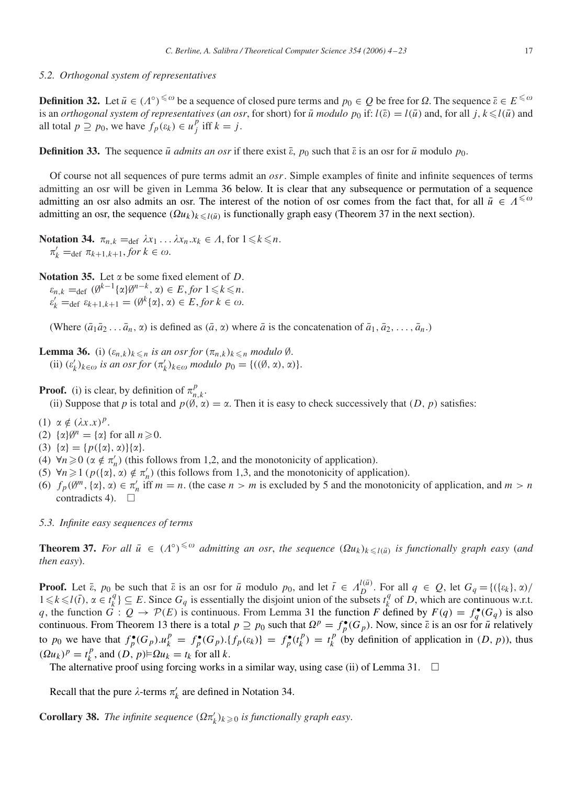### <span id="page-13-0"></span>*5.2. Orthogonal system of representatives*

**Definition 32.** Let  $\bar{u} \in (A^\circ)^{\leq \omega}$  be a sequence of closed pure terms and  $p_0 \in Q$  be free for  $\Omega$ . The sequence  $\bar{\varepsilon} \in E^{\leq \omega}$ is an *orthogonal system of representatives (an osr,* for short) for  $\bar{u}$  *modulo*  $p_0$  if:  $l(\bar{v}) = l(\bar{u})$  and, for all  $j, k \leq l(\bar{u})$  and all total  $p \supseteq p_0$ , we have  $f_p(\varepsilon_k) \in u_j^p$  iff  $k = j$ .

**Definition 33.** The sequence  $\bar{u}$  *admits an osr* if there exist  $\bar{\varepsilon}$ ,  $p_0$  such that  $\bar{\varepsilon}$  is an osr for  $\bar{u}$  modulo  $p_0$ .

Of course not all sequences of pure terms admit an *osr*. Simple examples of finite and infinite sequences of terms admitting an osr will be given in Lemma 36 below. It is clear that any subsequence or permutation of a sequence admitting an osr also admits an osr. The interest of the notion of osr comes from the fact that, for all  $\bar{u} \in A^{\leq \omega}$ admitting an osr, the sequence  $(\Omega u_k)_{k \leq l(\bar{u})}$  is functionally graph easy (Theorem 37 in the next section).

**Notation 34.**  $\pi_{n,k} = \text{def } \lambda x_1 \ldots \lambda x_n . x_k \in \Lambda$ , for  $1 \leq k \leq n$ .  $\pi'_k = \text{def } \pi_{k+1,k+1}, \text{for } k \in \omega.$ 

**Notation 35.** Let  $\alpha$  be some fixed element of *D*.

 $\varepsilon_{n,k} = \text{def } (\emptyset^{k-1}\{\alpha\}\emptyset^{n-k}, \alpha) \in E$ , *for*  $1 \leq k \leq n$ .  $\varepsilon'_{k} = \det \varepsilon_{k+1,k+1} = (\emptyset^{k} \{ \alpha \}, \alpha) \in E, \text{for } k \in \omega.$ 

(Where  $(\bar{a}_1 \bar{a}_2 \ldots \bar{a}_n, \alpha)$  is defined as  $(\bar{a}, \alpha)$  where  $\bar{a}$  is the concatenation of  $\bar{a}_1, \bar{a}_2, \ldots, \bar{a}_n$ .)

**Lemma 36.** (i)  $(\varepsilon_{n,k})_{k \leq n}$  *is an osr for*  $(\pi_{n,k})_{k \leq n}$  *modulo*  $\emptyset$ *.*  $(i)$   $(\varepsilon'_k)_{k \in \omega}$  *is an osr for*  $(\pi'_k)_{k \in \omega}$  *modulo*  $p_0 = \{((\emptyset, \alpha), \alpha)\}.$ 

**Proof.** (i) is clear, by definition of  $\pi_{n,k}^p$ .

(ii) Suppose that *p* is total and  $p(\emptyset, \alpha) = \alpha$ . Then it is easy to check successively that  $(D, p)$  satisfies:

- (1)  $\alpha \notin (\lambda x.x)^p$ .
- (2)  $\{\alpha\}\emptyset^n = \{\alpha\}$  for all  $n \ge 0$ .
- (3)  $\{\alpha\} = \{p(\{\alpha\}, \alpha)\}\{\alpha\}.$
- (4)  $\forall n \ge 0$  ( $\alpha \notin \pi'_n$ ) (this follows from 1,2, and the monotonicity of application).
- (5)  $\forall n \ge 1$  ( $p(\{\alpha\}, \alpha) \notin \pi'_n$ ) (this follows from 1,3, and the monotonicity of application).
- (6)  $f_p(\emptyset^m, {\alpha\}, \alpha) \in \pi'_n$  iff  $m = n$ . (the case  $n > m$  is excluded by 5 and the monotonicity of application, and  $m > n$ contradicts 4).  $\square$
- *5.3. Infinite easy sequences of terms*

**Theorem 37.** For all  $\bar{u} \in (A^{\circ})^{\leq \omega}$  admitting an osr, the sequence  $(\Omega u_k)_{k \leq l(\bar{u})}$  is functionally graph easy (and *then easy*).

**Proof.** Let  $\bar{\epsilon}$ ,  $p_0$  be such that  $\bar{\epsilon}$  is an osr for  $\bar{u}$  modulo  $p_0$ , and let  $\bar{t} \in A_D^{l(\bar{u})}$ . For all  $q \in Q$ , let  $G_q = \{(\{\epsilon_k\}, \alpha) / \epsilon_k\}$  $1 \le k \le l(\bar{t})$ ,  $\alpha \in t_k^q$  ⊆ *E*. Since  $G_q$  is essentially the disjoint union of the subsets  $t_k^q$  of *D*, which are continuous w.r.t. *q*, the function  $G: Q \to \mathcal{P}(E)$  is continuous. From Lemma [31](#page-12-0) the function *F* defined by  $F(q) = f_q^{\bullet}(G_q)$  is also continuous. From Theorem [13](#page-9-0) there is a total  $p \supseteq p_0$  such that  $\Omega^p = f_p^{\bullet}(G_p)$ . Now, since  $\overline{\varepsilon}$  is an osr for  $\overline{u}$  relatively to  $p_0$  we have that  $f_p^{\bullet}(G_p)u_k^p = f_p^{\bullet}(G_p) \cdot \{f_p(\varepsilon_k)\} = f_p^{\bullet}(t_k^p) = t_k^p$  (by definition of application in  $(D, p)$ ), thus  $(Qu_k)^p = t_k^p$ , and  $(D, p) \models Qu_k = t_k$  for all *k*.

The alternative proof using forcing works in a similar way, using case (ii) of Lemma [31.](#page-12-0)  $\Box$ 

Recall that the pure  $\lambda$ -terms  $\pi'_{k}$  are defined in Notation 34.

**Corollary 38.** *The infinite sequence*  $(\Omega \pi'_k)_{k \geq 0}$  *is functionally graph easy.*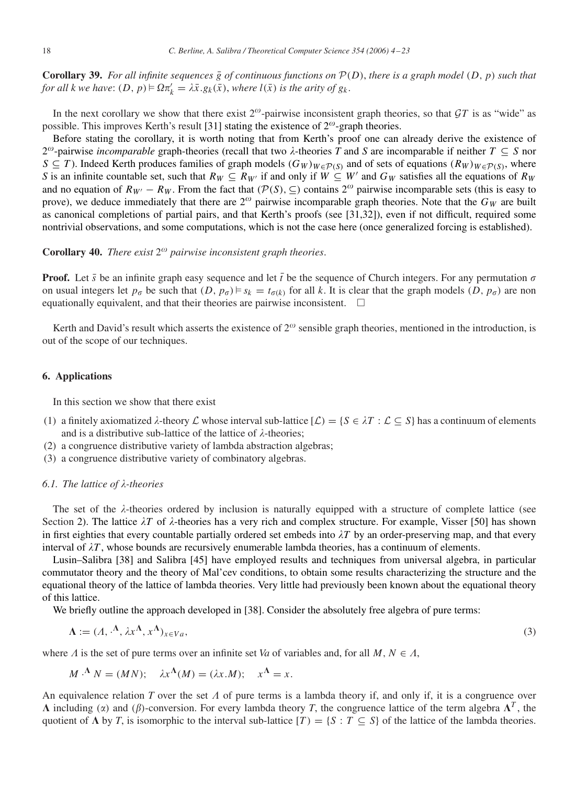<span id="page-14-0"></span>**Corollary 39.** For all infinite sequences  $\bar{g}$  of continuous functions on  $P(D)$ , there is a graph model  $(D, p)$  such that *for all k we have:*  $(D, p) \models \Omega \pi'_k = \lambda \bar{x}. g_k(\bar{x})$ , *where*  $l(\bar{x})$  *is the arity of*  $g_k$ .

In the next corollary we show that there exist  $2^{\omega}$ -pairwise inconsistent graph theories, so that GT is as "wide" as possible. This improves Kerth's result [\[31\]](#page-19-0) stating the existence of  $2^{\omega}$ -graph theories.

Before stating the corollary, it is worth noting that from Kerth's proof one can already derive the existence of 2<sup>ω</sup>-pairwise *incomparable* graph-theories (recall that two  $\lambda$ -theories T and S are incomparable if neither  $T \subseteq S$  nor *S* ⊆ *T*). Indeed Kerth produces families of graph models  $(G_W)_{W \in \mathcal{P}(S)}$  and of sets of equations  $(R_W)_{W \in \mathcal{P}(S)}$ , where *S* is an infinite countable set, such that  $R_W \subseteq R_{W'}$  if and only if  $W \subseteq W'$  and  $G_W$  satisfies all the equations of  $R_W$ and no equation of  $R_{W'} - R_W$ . From the fact that  $(\mathcal{P}(S), \subseteq)$  contains  $2^{\omega}$  pairwise incomparable sets (this is easy to prove), we deduce immediately that there are  $2^{\omega}$  pairwise incomparable graph theories. Note that the  $G_W$  are built as canonical completions of partial pairs, and that Kerth's proofs (see [\[31,32\]\)](#page-19-0), even if not difficult, required some nontrivial observations, and some computations, which is not the case here (once generalized forcing is established).

# **Corollary 40.** *There exist*  $2^{\omega}$  *pairwise inconsistent graph theories.*

**Proof.** Let  $\bar{s}$  be an infinite graph easy sequence and let  $\bar{t}$  be the sequence of Church integers. For any permutation  $\sigma$ on usual integers let  $p_{\sigma}$  be such that  $(D, p_{\sigma}) \models s_k = t_{\sigma(k)}$  for all *k*. It is clear that the graph models  $(D, p_{\sigma})$  are non equationally equivalent, and that their theories are pairwise inconsistent.  $\Box$ 

Kerth and David's result which asserts the existence of  $2^\omega$  sensible graph theories, mentioned in the introduction, is out of the scope of our techniques.

# **6. Applications**

In this section we show that there exist

- (1) a finitely axiomatized  $\lambda$ -theory  $\mathcal L$  whose interval sub-lattice  $[\mathcal L) = \{S \in \lambda T : \mathcal L \subseteq S\}$  has a continuum of elements and is a distributive sub-lattice of the lattice of  $\lambda$ -theories;
- (2) a congruence distributive variety of lambda abstraction algebras;
- (3) a congruence distributive variety of combinatory algebras.

# **6.1.** The lattice of λ-theories

The set of the  $\lambda$ -theories ordered by inclusion is naturally equipped with a structure of complete lattice (see Section [2\)](#page-3-0). The lattice  $\lambda T$  of  $\lambda$ -theories has a very rich and complex structure. For example, Visser [50] has shown in first eighties that every countable partially ordered set embeds into  $\lambda T$  by an order-preserving map, and that every interval of  $\lambda T$ , whose bounds are recursively enumerable lambda theories, has a continuum of elements.

Lusin–Salibra [\[38\]](#page-19-0) and Salibra [\[45\]](#page-19-0) have employed results and techniques from universal algebra, in particular commutator theory and the theory of Mal'cev conditions, to obtain some results characterizing the structure and the equational theory of the lattice of lambda theories. Very little had previously been known about the equational theory of this lattice.

We briefly outline the approach developed in [\[38\].](#page-19-0) Consider the absolutely free algebra of pure terms:

$$
\Lambda := (A, \cdot^{\Lambda}, \lambda x^{\Lambda}, x^{\Lambda})_{x \in V_a}, \tag{3}
$$

where  $\Lambda$  is the set of pure terms over an infinite set *Va* of variables and, for all *M*,  $N \in \Lambda$ ,

$$
M \cdot^{\Lambda} N = (MN); \quad \lambda x^{\Lambda}(M) = (\lambda x.M); \quad x^{\Lambda} = x.
$$

An equivalence relation *T* over the set  $\Lambda$  of pure terms is a lambda theory if, and only if, it is a congruence over  $\Lambda$  including ( $\alpha$ ) and ( $\beta$ )-conversion. For every lambda theory *T*, the congruence lattice of the term algebra  $\Lambda^T$ , the quotient of  $\Lambda$  by *T*, is isomorphic to the interval sub-lattice  $[T] = \{S : T \subseteq S\}$  of the lattice of the lambda theories.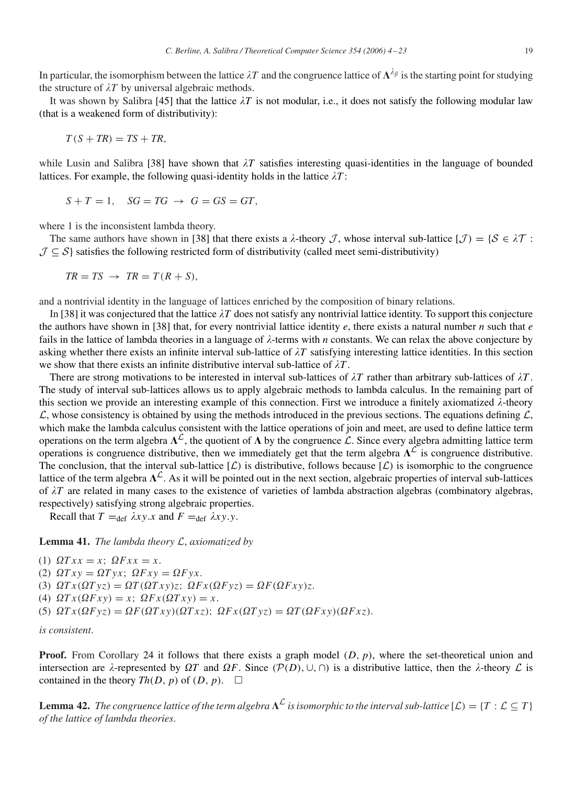<span id="page-15-0"></span>In particular, the isomorphism between the lattice  $\lambda T$  and the congruence lattice of  $\Lambda^{\lambda_\beta}$  is the starting point for studying the structure of  $\lambda T$  by universal algebraic methods.

It was shown by Salibra [\[45\]](#page-19-0) that the lattice  $\lambda T$  is not modular, i.e., it does not satisfy the following modular law (that is a weakened form of distributivity):

$$
T(S + TR) = TS + TR,
$$

while Lusin and Salibra [\[38\]](#page-19-0) have shown that  $\lambda T$  satisfies interesting quasi-identities in the language of bounded lattices. For example, the following quasi-identity holds in the lattice  $\lambda T$ :

$$
S + T = 1, \quad SG = TG \rightarrow G = GS = GT,
$$

where 1 is the inconsistent lambda theory.

The same authors have shown in [\[38\]](#page-19-0) that there exists a  $\lambda$ -theory  $\mathcal{J}$ , whose interval sub-lattice  $[\mathcal{J}] = {\mathcal{S} \in \lambda \mathcal{T}}$ :  $\mathcal{J} \subseteq \mathcal{S}$  satisfies the following restricted form of distributivity (called meet semi-distributivity)

$$
TR = TS \rightarrow TR = T(R + S),
$$

and a nontrivial identity in the language of lattices enriched by the composition of binary relations.

In [\[38\]](#page-19-0) it was conjectured that the lattice  $\lambda T$  does not satisfy any nontrivial lattice identity. To support this conjecture the authors have shown in [\[38\]](#page-19-0) that, for every nontrivial lattice identity *e*, there exists a natural number *n* such that *e* fails in the lattice of lambda theories in a language of  $\lambda$ -terms with *n* constants. We can relax the above conjecture by asking whether there exists an infinite interval sub-lattice of  $\lambda T$  satisfying interesting lattice identities. In this section we show that there exists an infinite distributive interval sub-lattice of  $\lambda T$ .

There are strong motivations to be interested in interval sub-lattices of  $\lambda T$  rather than arbitrary sub-lattices of  $\lambda T$ . The study of interval sub-lattices allows us to apply algebraic methods to lambda calculus. In the remaining part of this section we provide an interesting example of this connection. First we introduce a finitely axiomatized  $\lambda$ -theory  $\mathcal{L}$ , whose consistency is obtained by using the methods introduced in the previous sections. The equations defining  $\mathcal{L}$ , which make the lambda calculus consistent with the lattice operations of join and meet, are used to define lattice term operations on the term algebra  $\Lambda^{\mathcal{L}}$ , the quotient of  $\Lambda$  by the congruence  $\mathcal{L}$ . Since every algebra admitting lattice term operations is congruence distributive, then we immediately get that the term algebra  $\Lambda^{\mathcal{L}}$  is congruence distributive. The conclusion, that the interval sub-lattice  $(L)$  is distributive, follows because  $[L]$  is isomorphic to the congruence lattice of the term algebra  $\Lambda^{\mathcal{L}}$ . As it will be pointed out in the next section, algebraic properties of interval sub-lattices of  $\lambda T$  are related in many cases to the existence of varieties of lambda abstraction algebras (combinatory algebras, respectively) satisfying strong algebraic properties.

Recall that  $T =_{def} \lambda xy.x$  and  $F =_{def} \lambda xy.y$ .

**Lemma 41.** *The lambda theory* L, *axiomatized by*

(1)  $\Omega T x x = x$ ;  $\Omega F x x = x$ . (2)  $\Omega Txy = \Omega Tyx$ ;  $\Omega Fxy = \Omega Fyx$ . (3)  $\Omega Tx(\Omega Tyz) = \Omega T(\Omega Txy)z; \ \Omega Fx(\Omega Fyz) = \Omega F(\Omega Fxy)z.$ (4)  $\Omega Tx(\Omega Fxy) = x$ ;  $\Omega Fx(\Omega Tx y) = x$ . (5)  $\Omega Tx(\Omega Fyz) = \Omega F(\Omega Txy)(\Omega Txz); \ \Omega Fx(\Omega Tyz) = \Omega T(\Omega Fxy)(\Omega Fxz).$ 

*is consistent*.

**Proof.** From Corollary [24](#page-11-0) it follows that there exists a graph model *(D, p)*, where the set-theoretical union and intersection are  $\lambda$ -represented by  $\Omega T$  and  $\Omega F$ . Since  $(\mathcal{P}(D), \cup, \cap)$  is a distributive lattice, then the  $\lambda$ -theory  $\mathcal L$  is contained in the theory  $Th(D, p)$  of  $(D, p)$ .  $\Box$ 

**Lemma 42.** *The congruence lattice of the term algebra*  $\Lambda^{\mathcal{L}}$  *is isomorphic to the interval sub-lattice*  $[\mathcal{L}] = \{T : \mathcal{L} \subseteq T\}$ *of the lattice of lambda theories*.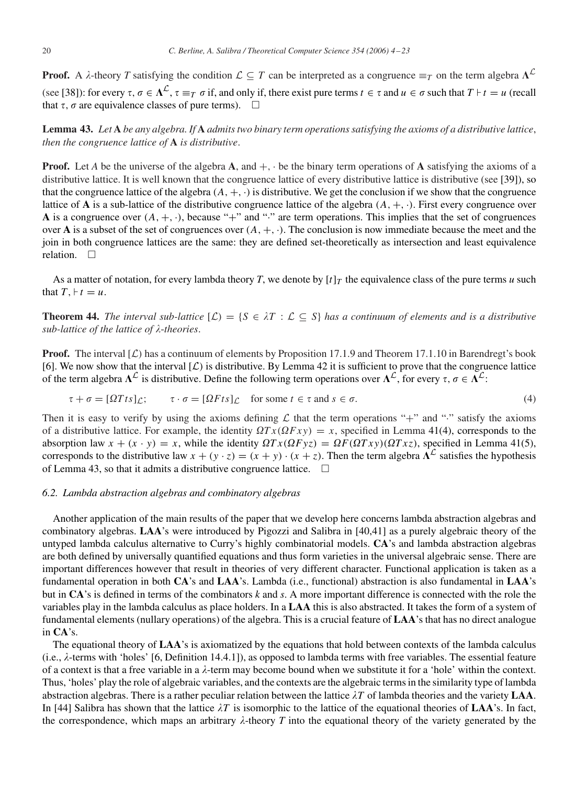<span id="page-16-0"></span>**Proof.** A  $\lambda$ -theory *T* satisfying the condition  $\mathcal{L} \subseteq T$  can be interpreted as a congruence  $\equiv_T$  on the term algebra  $\Lambda^{\mathcal{L}}$ (see [\[38\]\)](#page-19-0): for every  $\tau, \sigma \in \Lambda^{\mathcal{L}}, \tau \equiv_T \sigma$  if, and only if, there exist pure terms  $t \in \tau$  and  $u \in \sigma$  such that  $T \mid t = u$  (recall that  $\tau$ ,  $\sigma$  are equivalence classes of pure terms).  $\Box$ 

**Lemma 43.** *Let* **A** *be any algebra. If* **A** *admits two binary term operations satisfying the axioms of a distributive lattice*, *then the congruence lattice of* **A** *is distributive*.

**Proof.** Let *A* be the universe of the algebra **A**, and  $+$ ,  $\cdot$  be the binary term operations of **A** satisfying the axioms of a distributive lattice. It is well known that the congruence lattice of every distributive lattice is distributive (see [\[39\]\)](#page-19-0), so that the congruence lattice of the algebra  $(A, +, \cdot)$  is distributive. We get the conclusion if we show that the congruence lattice of **A** is a sub-lattice of the distributive congruence lattice of the algebra  $(A, +, \cdot)$ . First every congruence over **A** is a congruence over  $(A, +, \cdot)$ , because "+" and "·" are term operations. This implies that the set of congruences over **A** is a subset of the set of congruences over  $(A, +, \cdot)$ . The conclusion is now immediate because the meet and the join in both congruence lattices are the same: they are defined set-theoretically as intersection and least equivalence relation.  $\square$ 

As a matter of notation, for every lambda theory *T*, we denote by  $[t]_T$  the equivalence class of the pure terms *u* such that  $T, \, \vdash t = u$ .

**Theorem 44.** *The interval sub-lattice*  $[L] = \{S \in \lambda T : L \subseteq S\}$  *has a continuum of elements and is a distributive* sub-lattice of the lattice of  $\lambda$ -theories.

**Proof.** The interval  $[L]$  has a continuum of elements by Proposition 17.1.9 and Theorem 17.1.10 in Barendregt's book [\[6\].](#page-18-0) We now show that the interval  $[*L*)$  is distributive. By Lemma [42](#page-15-0) it is sufficient to prove that the congruence lattice of the term algebra  $\Lambda^{\mathcal{L}}$  is distributive. Define the following term operations over  $\Lambda^{\mathcal{L}}$ , for every  $\tau, \sigma \in \Lambda^{\mathcal{L}}$ .

$$
\tau + \sigma = [\Omega T t s]_{\mathcal{L}}; \qquad \tau \cdot \sigma = [\Omega F t s]_{\mathcal{L}} \quad \text{for some } t \in \tau \text{ and } s \in \sigma.
$$

Then it is easy to verify by using the axioms defining  $\mathcal L$  that the term operations "+" and "·" satisfy the axioms of a distributive lattice. For example, the identity  $\Omega T x(\Omega F x y) = x$ , specified in Lemma [41\(](#page-15-0)4), corresponds to the absorption law  $x + (x \cdot y) = x$ , while the identity  $\Omega Tx(\Omega F yz) = \Omega F(\Omega Tx y)(\Omega Tx z)$ , specified in Lemma [41\(](#page-15-0)5), corresponds to the distributive law  $x + (y \cdot z) = (x + y) \cdot (x + z)$ . Then the term algebra  $\Lambda^{\mathcal{L}}$  satisfies the hypothesis of Lemma 43, so that it admits a distributive congruence lattice.  $\Box$ 

## *6.2. Lambda abstraction algebras and combinatory algebras*

Another application of the main results of the paper that we develop here concerns lambda abstraction algebras and combinatory algebras. **LAA**'s were introduced by Pigozzi and Salibra in [\[40,41\]](#page-19-0) as a purely algebraic theory of the untyped lambda calculus alternative to Curry's highly combinatorial models. **CA**'s and lambda abstraction algebras are both defined by universally quantified equations and thus form varieties in the universal algebraic sense. There are important differences however that result in theories of very different character. Functional application is taken as a fundamental operation in both **CA**'s and **LAA**'s. Lambda (i.e., functional) abstraction is also fundamental in **LAA**'s but in **CA**'s is defined in terms of the combinators *k* and *s*. A more important difference is connected with the role the variables play in the lambda calculus as place holders. In a **LAA** this is also abstracted. It takes the form of a system of fundamental elements (nullary operations) of the algebra. This is a crucial feature of **LAA**'s that has no direct analogue in **CA**'s.

The equational theory of **LAA**'s is axiomatized by the equations that hold between contexts of the lambda calculus (i.e.,  $\lambda$ -terms with 'holes' [\[6, Definition 14.4.1\]\)](#page-18-0), as opposed to lambda terms with free variables. The essential feature of a context is that a free variable in a  $\lambda$ -term may become bound when we substitute it for a 'hole' within the context. Thus, 'holes' play the role of algebraic variables, and the contexts are the algebraic terms in the similarity type of lambda abstraction algebras. There is a rather peculiar relation between the lattice  $\lambda T$  of lambda theories and the variety LAA. In [\[44\]](#page-19-0) Salibra has shown that the lattice  $\lambda T$  is isomorphic to the lattice of the equational theories of **LAA**'s. In fact, the correspondence, which maps an arbitrary  $\lambda$ -theory T into the equational theory of the variety generated by the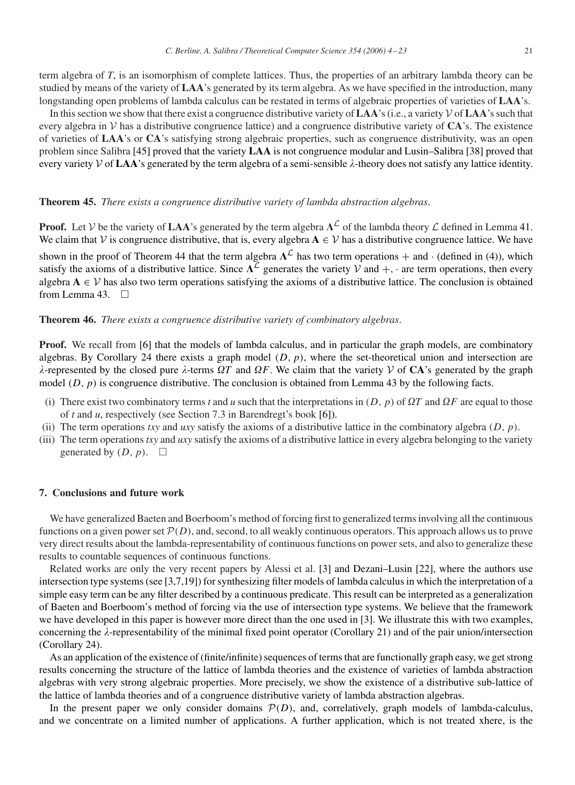<span id="page-17-0"></span>term algebra of *T*, is an isomorphism of complete lattices. Thus, the properties of an arbitrary lambda theory can be studied by means of the variety of **LAA**'s generated by its term algebra. As we have specified in the introduction, many longstanding open problems of lambda calculus can be restated in terms of algebraic properties of varieties of **LAA**'s.

In this section we show that there exist a congruence distributive variety of **LAA**'s (i.e., a variety  $\mathcal V$  of **LAA**'s such that every algebra in  $V$  has a distributive congruence lattice) and a congruence distributive variety of  $CA$ 's. The existence of varieties of **LAA**'s or **CA**'s satisfying strong algebraic properties, such as congruence distributivity, was an open problem since Salibra [\[45\]](#page-19-0) proved that the variety **LAA** is not congruence modular and Lusin–Salibra [\[38\]](#page-19-0) proved that every variety  $V$  of  $LAA$ 's generated by the term algebra of a semi-sensible  $\lambda$ -theory does not satisfy any lattice identity.

# **Theorem 45.** *There exists a congruence distributive variety of lambda abstraction algebras*.

**Proof.** Let V be the variety of **LAA**'s generated by the term algebra  $\Lambda^{\mathcal{L}}$  of the lambda theory  $\mathcal{L}$  defined in Lemma [41.](#page-15-0) We claim that V is congruence distributive, that is, every algebra  $A \in V$  has a distributive congruence lattice. We have shown in the proof of Theorem [44](#page-16-0) that the term algebra  $\Lambda^{\mathcal{L}}$  has two term operations + and · (defined in [\(4\)](#page-16-0)), which satisfy the axioms of a distributive lattice. Since  $\Lambda^{\mathcal{L}}$  generates the variety  $\mathcal{V}$  and  $+$ ,  $\cdot$  are term operations, then every algebra  $A \in V$  has also two term operations satisfying the axioms of a distributive lattice. The conclusion is obtained from Lemma [43.](#page-16-0)  $\Box$ 

## **Theorem 46.** *There exists a congruence distributive variety of combinatory algebras*.

**Proof.** We recall from [\[6\]](#page-18-0) that the models of lambda calculus, and in particular the graph models, are combinatory algebras. By Corollary [24](#page-11-0) there exists a graph model *(D, p)*, where the set-theoretical union and intersection are  $\lambda$ -represented by the closed pure  $\lambda$ -terms  $\Omega T$  and  $\Omega F$ . We claim that the variety  $V$  of **CA**'s generated by the graph model (D, p) is congruence distributive. The conclusion is obtained from Lemma [43](#page-16-0) by the following facts.

- (i) There exist two combinatory terms *t* and *u* such that the interpretations in  $(D, p)$  of  $\Omega T$  and  $\Omega F$  are equal to those of *t* and *u*, respectively (see Section 7.3 in Barendregt's book [\[6\]\)](#page-18-0).
- (ii) The term operations *txy* and *uxy* satisfy the axioms of a distributive lattice in the combinatory algebra *(D, p)*.
- (iii) The term operations *txy* and *uxy* satisfy the axioms of a distributive lattice in every algebra belonging to the variety generated by  $(D, p)$ .  $\square$

## **7. Conclusions and future work**

We have generalized Baeten and Boerboom's method of forcing first to generalized terms involving all the continuous functions on a given power set  $P(D)$ , and, second, to all weakly continuous operators. This approach allows us to prove very direct results about the lambda-representability of continuous functions on power sets, and also to generalize these results to countable sequences of continuous functions.

Related works are only the very recent papers by Alessi et al. [\[3\]](#page-18-0) and Dezani–Lusin [\[22\],](#page-19-0) where the authors use intersection type systems (see [\[3,7,](#page-18-0)[19\]\)](#page-19-0) for synthesizing filter models of lambda calculus in which the interpretation of a simple easy term can be any filter described by a continuous predicate. This result can be interpreted as a generalization of Baeten and Boerboom's method of forcing via the use of intersection type systems. We believe that the framework we have developed in this paper is however more direct than the one used in [\[3\].](#page-18-0) We illustrate this with two examples, concerning the  $\lambda$ -representability of the minimal fixed point operator (Corollary [21\)](#page-11-0) and of the pair union/intersection (Corollary [24\)](#page-11-0).

As an application of the existence of (finite/infinite) sequences of terms that are functionally graph easy, we get strong results concerning the structure of the lattice of lambda theories and the existence of varieties of lambda abstraction algebras with very strong algebraic properties. More precisely, we show the existence of a distributive sub-lattice of the lattice of lambda theories and of a congruence distributive variety of lambda abstraction algebras.

In the present paper we only consider domains  $P(D)$ , and, correlatively, graph models of lambda-calculus, and we concentrate on a limited number of applications. A further application, which is not treated xhere, is the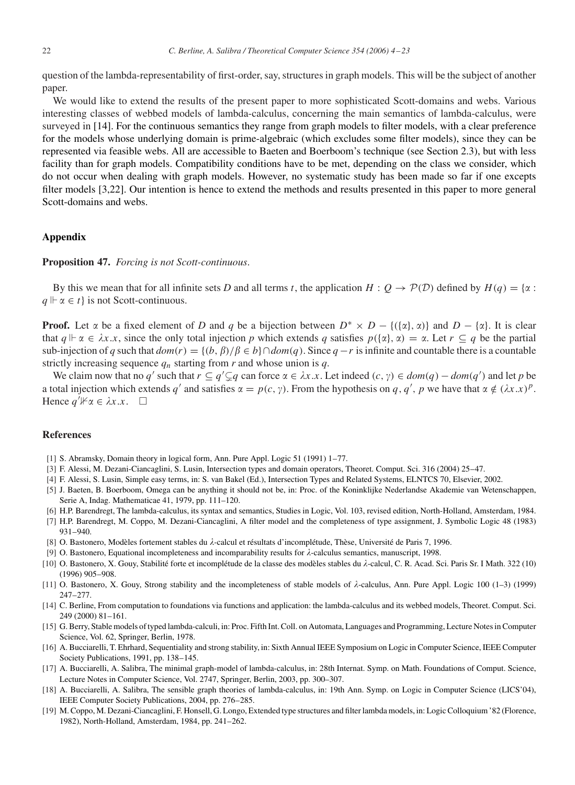<span id="page-18-0"></span>question of the lambda-representability of first-order, say, structures in graph models. This will be the subject of another paper.

We would like to extend the results of the present paper to more sophisticated Scott-domains and webs. Various interesting classes of webbed models of lambda-calculus, concerning the main semantics of lambda-calculus, were surveyed in [14]. For the continuous semantics they range from graph models to filter models, with a clear preference for the models whose underlying domain is prime-algebraic (which excludes some filter models), since they can be represented via feasible webs. All are accessible to Baeten and Boerboom's technique (see Section 2.3), but with less facility than for graph models. Compatibility conditions have to be met, depending on the class we consider, which do not occur when dealing with graph models. However, no systematic study has been made so far if one excepts filter models [[3,22\].](#page-19-0) Our intention is hence to extend the methods and results presented in this paper to more general Scott-domains and webs.

# **Appendix**

#### **Proposition 47.** *Forcing is not Scott-continuous*.

By this we mean that for all infinite sets *D* and all terms *t*, the application  $H: Q \to \mathcal{P}(\mathcal{D})$  defined by  $H(q) = \{ \alpha :$  $q \vDash \alpha \in t$  is not Scott-continuous.

**Proof.** Let  $\alpha$  be a fixed element of *D* and *q* be a bijection between  $D^* \times D - \{(\{\alpha\}, \alpha)\}\$  and  $D - \{\alpha\}$ . It is clear that  $q \Vdash \alpha \in \lambda x.x$ , since the only total injection p which extends q satisfies  $p(\{\alpha\}, \alpha) = \alpha$ . Let  $r \subseteq q$  be the partial sub-injection of *q* such that  $dom(r) = \{(b, \beta)/\beta \in b\} \cap dom(q)$ . Since  $q - r$  is infinite and countable there is a countable strictly increasing sequence  $q_n$  starting from  $r$  and whose union is  $q$ .

We claim now that no *q'* such that  $r \subseteq q' \subseteq q$  can force  $\alpha \in \lambda x.x$ . Let indeed  $(c, \gamma) \in dom(q) - dom(q')$  and let *p* be a total injection which extends q' and satisfies  $\alpha = p(c, \gamma)$ . From the hypothesis on q, q', p we have that  $\alpha \notin (\lambda x.x)^p$ . Hence  $q^j$   $\nvdash \alpha \in \lambda x . x$ .  $\square$ 

## **References**

- [1] S. Abramsky, Domain theory in logical form, Ann. Pure Appl. Logic 51 (1991) 1–77.
- [3] F. Alessi, M. Dezani-Ciancaglini, S. Lusin, Intersection types and domain operators, Theoret. Comput. Sci. 316 (2004) 25–47.
- [4] F. Alessi, S. Lusin, Simple easy terms, in: S. van Bakel (Ed.), Intersection Types and Related Systems, ELNTCS 70, Elsevier, 2002.
- [5] J. Baeten, B. Boerboom, Omega can be anything it should not be, in: Proc. of the Koninklijke Nederlandse Akademie van Wetenschappen, Serie A, Indag. Mathematicae 41, 1979, pp. 111–120.
- [6] H.P. Barendregt, The lambda-calculus, its syntax and semantics, Studies in Logic, Vol. 103, revised edition, North-Holland, Amsterdam, 1984.
- [7] H.P. Barendregt, M. Coppo, M. Dezani-Ciancaglini, A filter model and the completeness of type assignment, J. Symbolic Logic 48 (1983) 931–940.
- [8] O. Bastonero, Modèles fortement stables du λ-calcul et résultats d'incomplétude, Thèse, Université de Paris 7, 1996.
- [9] O. Bastonero, Equational incompleteness and incomparability results for  $\lambda$ -calculus semantics, manuscript, 1998.
- [10] O. Bastonero, X. Gouy, Stabilité forte et incomplétude de la classe des modèles stables du  $\lambda$ -calcul, C. R. Acad. Sci. Paris Sr. I Math. 322 (10) (1996) 905–908.
- [11] O. Bastonero, X. Gouy, Strong stability and the incompleteness of stable models of  $\lambda$ -calculus, Ann. Pure Appl. Logic 100 (1–3) (1999) 247–277.
- [14] C. Berline, From computation to foundations via functions and application: the lambda-calculus and its webbed models, Theoret. Comput. Sci. 249 (2000) 81–161.
- [15] G. Berry, Stable models of typed lambda-calculi, in: Proc. Fifth Int. Coll. on Automata, Languages and Programming, Lecture Notes in Computer Science, Vol. 62, Springer, Berlin, 1978.
- [16] A. Bucciarelli, T. Ehrhard, Sequentiality and strong stability, in: Sixth Annual IEEE Symposium on Logic in Computer Science, IEEE Computer Society Publications, 1991, pp. 138–145.
- [17] A. Bucciarelli, A. Salibra, The minimal graph-model of lambda-calculus, in: 28th Internat. Symp. on Math. Foundations of Comput. Science, Lecture Notes in Computer Science, Vol. 2747, Springer, Berlin, 2003, pp. 300–307.
- [18] A. Bucciarelli, A. Salibra, The sensible graph theories of lambda-calculus, in: 19th Ann. Symp. on Logic in Computer Science (LICS'04), IEEE Computer Society Publications, 2004, pp. 276–285.
- [19] M. Coppo, M. Dezani-Ciancaglini, F. Honsell, G. Longo, Extended type structures and filter lambda models, in: Logic Colloquium '82 (Florence, 1982), North-Holland, Amsterdam, 1984, pp. 241–262.